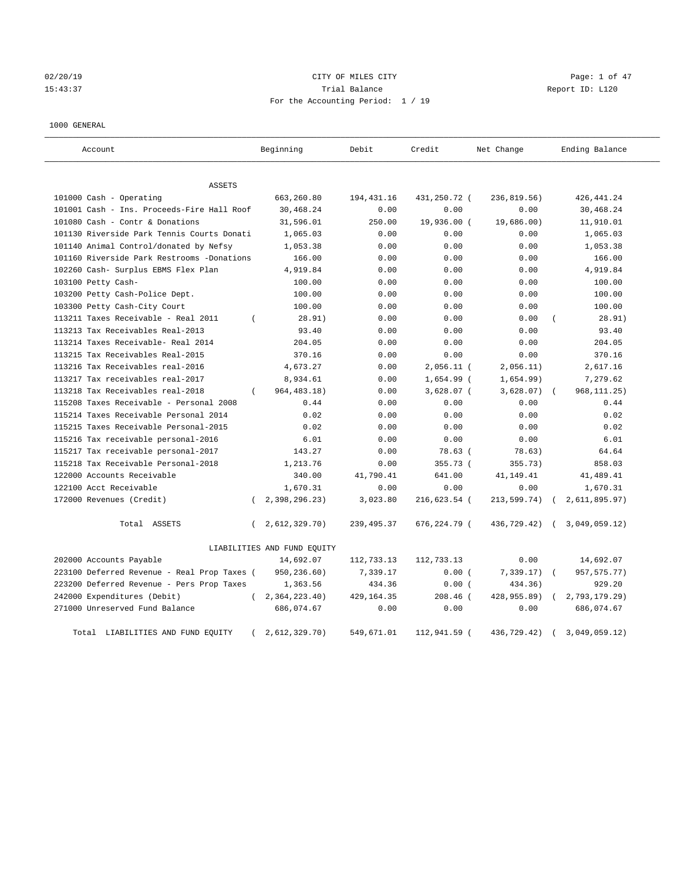02/20/19 CITY OF MILES CITY Page: 1 of 47 15:43:37 Trial Balance Report ID: L120 For the Accounting Period: 1 / 19

#### 1000 GENERAL

| Account                                     |          | Beginning                   | Debit       | Credit       | Net Change  |            | Ending Balance |
|---------------------------------------------|----------|-----------------------------|-------------|--------------|-------------|------------|----------------|
| ASSETS                                      |          |                             |             |              |             |            |                |
| 101000 Cash - Operating                     |          | 663,260.80                  | 194, 431.16 | 431,250.72 ( | 236,819.56) |            | 426, 441.24    |
| 101001 Cash - Ins. Proceeds-Fire Hall Roof  |          | 30,468.24                   | 0.00        | 0.00         | 0.00        |            | 30,468.24      |
| 101080 Cash - Contr & Donations             |          | 31,596.01                   | 250.00      | 19,936.00 (  | 19,686.00)  |            | 11,910.01      |
| 101130 Riverside Park Tennis Courts Donati  |          | 1,065.03                    | 0.00        | 0.00         | 0.00        |            | 1,065.03       |
| 101140 Animal Control/donated by Nefsy      |          | 1,053.38                    | 0.00        | 0.00         | 0.00        |            | 1,053.38       |
| 101160 Riverside Park Restrooms -Donations  |          | 166.00                      | 0.00        | 0.00         | 0.00        |            | 166.00         |
| 102260 Cash- Surplus EBMS Flex Plan         |          | 4,919.84                    | 0.00        | 0.00         | 0.00        |            | 4,919.84       |
| 103100 Petty Cash-                          |          | 100.00                      | 0.00        | 0.00         | 0.00        |            | 100.00         |
| 103200 Petty Cash-Police Dept.              |          | 100.00                      | 0.00        | 0.00         | 0.00        |            | 100.00         |
| 103300 Petty Cash-City Court                |          | 100.00                      | 0.00        | 0.00         | 0.00        |            | 100.00         |
| 113211 Taxes Receivable - Real 2011         | $\left($ | 28.91)                      | 0.00        | 0.00         | 0.00        |            | 28.91)         |
| 113213 Tax Receivables Real-2013            |          | 93.40                       | 0.00        | 0.00         | 0.00        |            | 93.40          |
| 113214 Taxes Receivable- Real 2014          |          | 204.05                      | 0.00        | 0.00         | 0.00        |            | 204.05         |
| 113215 Tax Receivables Real-2015            |          | 370.16                      | 0.00        | 0.00         | 0.00        |            | 370.16         |
| 113216 Tax Receivables real-2016            |          | 4,673.27                    | 0.00        | $2,056.11$ ( | 2,056.11)   |            | 2,617.16       |
| 113217 Tax receivables real-2017            |          | 8,934.61                    | 0.00        | 1,654.99 (   | 1,654.99)   |            | 7,279.62       |
| 113218 Tax Receivables real-2018            | $\left($ | 964, 483. 18)               | 0.00        | $3,628.07$ ( | 3,628.07)   | $\sqrt{2}$ | 968, 111.25)   |
| 115208 Taxes Receivable - Personal 2008     |          | 0.44                        | 0.00        | 0.00         | 0.00        |            | 0.44           |
| 115214 Taxes Receivable Personal 2014       |          | 0.02                        | 0.00        | 0.00         | 0.00        |            | 0.02           |
| 115215 Taxes Receivable Personal-2015       |          | 0.02                        | 0.00        | 0.00         | 0.00        |            | 0.02           |
| 115216 Tax receivable personal-2016         |          | 6.01                        | 0.00        | 0.00         | 0.00        |            | 6.01           |
| 115217 Tax receivable personal-2017         |          | 143.27                      | 0.00        | 78.63 (      | 78.63)      |            | 64.64          |
| 115218 Tax Receivable Personal-2018         |          | 1,213.76                    | 0.00        | 355.73 (     | 355.73)     |            | 858.03         |
| 122000 Accounts Receivable                  |          | 340.00                      | 41,790.41   | 641.00       | 41,149.41   |            | 41,489.41      |
| 122100 Acct Receivable                      |          | 1,670.31                    | 0.00        | 0.00         | 0.00        |            | 1,670.31       |
| 172000 Revenues (Credit)                    | $\left($ | 2,398,296.23)               | 3,023.80    | 216,623.54 ( | 213,599.74) |            | 2,611,895.97)  |
| Total ASSETS                                | $\left($ | 2,612,329.70)               | 239, 495.37 | 676,224.79 ( | 436,729.42) | $\sqrt{2}$ | 3,049,059.12)  |
|                                             |          | LIABILITIES AND FUND EQUITY |             |              |             |            |                |
| 202000 Accounts Payable                     |          | 14,692.07                   | 112,733.13  | 112,733.13   | 0.00        |            | 14,692.07      |
| 223100 Deferred Revenue - Real Prop Taxes ( |          | 950,236.60)                 | 7,339.17    | 0.00(        | 7,339.17)   |            | 957, 575. 77)  |
| 223200 Deferred Revenue - Pers Prop Taxes   |          | 1,363.56                    | 434.36      | 0.00(        | 434.36)     |            | 929.20         |
| 242000 Expenditures (Debit)                 | $\left($ | 2,364,223.40)               | 429, 164.35 | $208.46$ (   | 428,955.89) |            | 2,793,179.29)  |
| 271000 Unreserved Fund Balance              |          | 686,074.67                  | 0.00        | 0.00         | 0.00        |            | 686,074.67     |
| Total LIABILITIES AND FUND EQUITY           |          | 2,612,329.70)               | 549,671.01  | 112,941.59 ( | 436,729.42) |            | 3,049,059.12)  |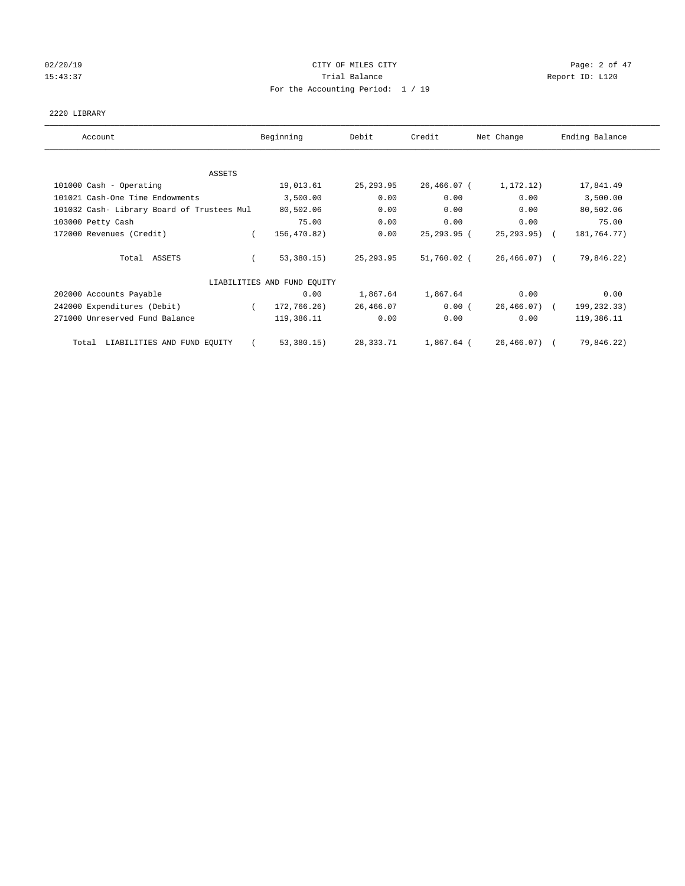## 02/20/19 CITY OF MILES CITY Page: 2 of 47 15:43:37 Trial Balance Report ID: L120 For the Accounting Period: 1 / 19

#### 2220 LIBRARY

| Account                                    | Beginning                   | Debit       | Credit      | Net Change       | Ending Balance |
|--------------------------------------------|-----------------------------|-------------|-------------|------------------|----------------|
|                                            |                             |             |             |                  |                |
| ASSETS                                     |                             |             |             |                  |                |
| 101000 Cash - Operating                    | 19,013.61                   | 25, 293.95  | 26,466.07 ( | 1,172.12)        | 17,841.49      |
| 101021 Cash-One Time Endowments            | 3,500.00                    | 0.00        | 0.00        | 0.00             | 3,500.00       |
| 101032 Cash- Library Board of Trustees Mul | 80,502.06                   | 0.00        | 0.00        | 0.00             | 80,502.06      |
| 103000 Petty Cash                          | 75.00                       | 0.00        | 0.00        | 0.00             | 75.00          |
| 172000 Revenues (Credit)                   | 156,470.82)                 | 0.00        | 25,293.95 ( | $25, 293.95$ ) ( | 181,764.77)    |
| Total ASSETS                               | 53,380.15)                  | 25, 293.95  | 51,760.02 ( | $26,466.07$ (    | 79,846.22)     |
|                                            | LIABILITIES AND FUND EQUITY |             |             |                  |                |
| 202000 Accounts Payable                    | 0.00                        | 1,867.64    | 1,867.64    | 0.00             | 0.00           |
| 242000 Expenditures (Debit)                | 172,766.26)                 | 26,466.07   | 0.00(       | $26,466.07$ (    | 199,232.33)    |
| 271000 Unreserved Fund Balance             | 119,386.11                  | 0.00        | 0.00        | 0.00             | 119,386.11     |
| LIABILITIES AND FUND EQUITY<br>Total       | 53,380.15)                  | 28, 333. 71 | 1,867.64 (  | $26, 466, 07)$ ( | 79,846.22)     |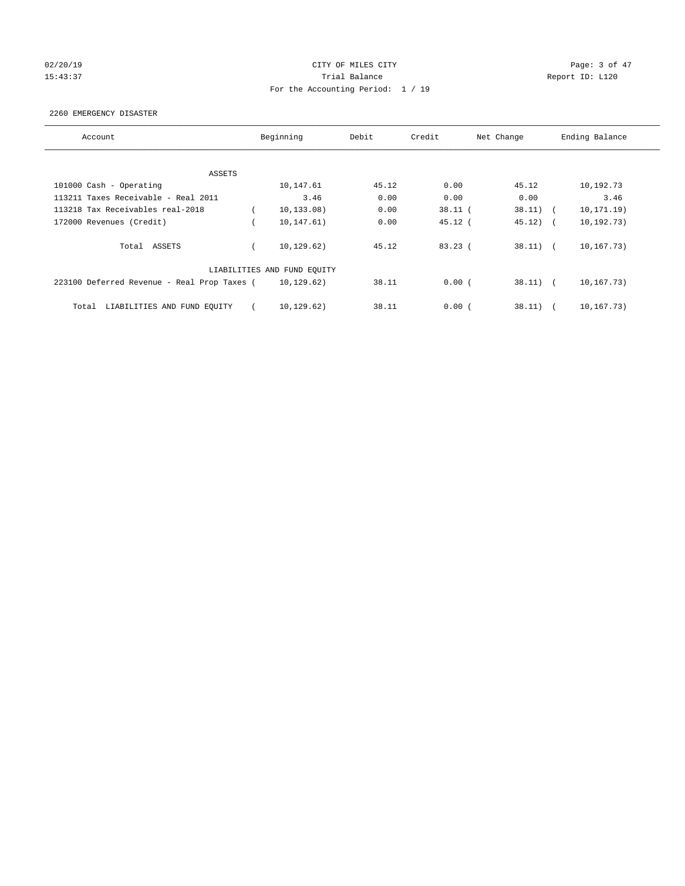## 02/20/19 CITY OF MILES CITY Page: 3 of 47 15:43:37 Trial Balance Report ID: L120 For the Accounting Period: 1 / 19

#### 2260 EMERGENCY DISASTER

| Account                                     | Beginning                   | Debit | Credit    | Net Change  | Ending Balance |
|---------------------------------------------|-----------------------------|-------|-----------|-------------|----------------|
|                                             |                             |       |           |             |                |
| ASSETS                                      |                             |       |           |             |                |
| 101000 Cash - Operating                     | 10,147.61                   | 45.12 | 0.00      | 45.12       | 10,192.73      |
| 113211 Taxes Receivable - Real 2011         | 3.46                        | 0.00  | 0.00      | 0.00        | 3.46           |
| 113218 Tax Receivables real-2018            | 10, 133.08)                 | 0.00  | $38.11$ ( | $38.11)$ (  | 10, 171.19)    |
| 172000 Revenues (Credit)                    | 10,147.61)                  | 0.00  | $45.12$ ( | $45.12$ ) ( | 10, 192, 73)   |
| Total ASSETS                                | 10, 129.62)                 | 45.12 | 83.23(    | 38.11)      | 10,167.73)     |
|                                             | LIABILITIES AND FUND EQUITY |       |           |             |                |
| 223100 Deferred Revenue - Real Prop Taxes ( | 10, 129.62)                 | 38.11 | 0.00(     | $38.11)$ (  | 10,167.73)     |
| LIABILITIES AND FUND EQUITY<br>Total        | 10, 129.62)                 | 38.11 | 0.00(     | 38.11)      | 10,167.73)     |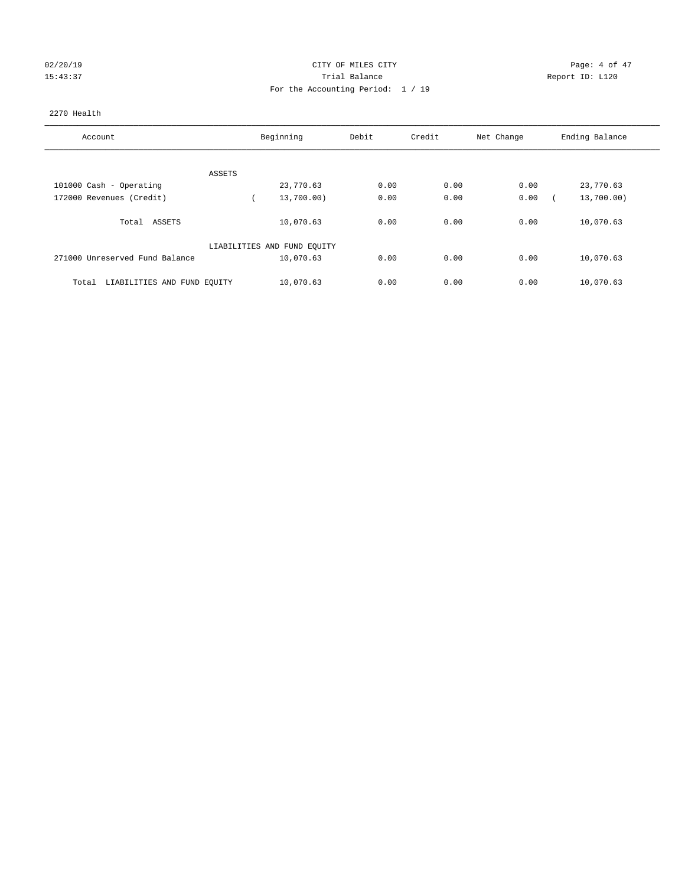# 02/20/19 CITY OF MILES CITY CHARGES CITY CONTROL Page: 4 of 47 15:43:37 Trial Balance Report ID: L120 For the Accounting Period: 1 / 19

#### 2270 Health

| Account                              | Beginning                   | Debit | Credit | Net Change | Ending Balance |
|--------------------------------------|-----------------------------|-------|--------|------------|----------------|
|                                      |                             |       |        |            |                |
| ASSETS                               |                             |       |        |            |                |
| 101000 Cash - Operating              | 23,770.63                   | 0.00  | 0.00   | 0.00       | 23,770.63      |
| 172000 Revenues (Credit)             | 13,700.00)                  | 0.00  | 0.00   | 0.00       | 13,700.00)     |
| Total<br>ASSETS                      | 10,070.63                   | 0.00  | 0.00   | 0.00       | 10,070.63      |
|                                      | LIABILITIES AND FUND EQUITY |       |        |            |                |
| 271000 Unreserved Fund Balance       | 10,070.63                   | 0.00  | 0.00   | 0.00       | 10,070.63      |
| LIABILITIES AND FUND EQUITY<br>Total | 10,070.63                   | 0.00  | 0.00   | 0.00       | 10,070.63      |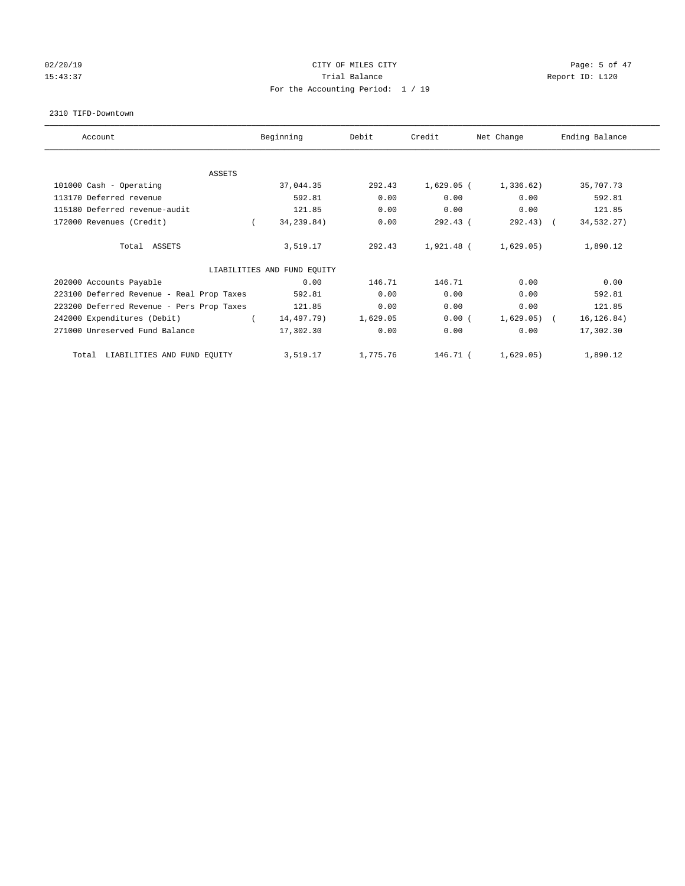## 02/20/19 CITY OF MILES CITY Page: 5 of 47 15:43:37 Trial Balance Report ID: L120 For the Accounting Period: 1 / 19

#### 2310 TIFD-Downtown

| Account                                   | Beginning                   | Debit    | Credit       | Net Change   | Ending Balance |
|-------------------------------------------|-----------------------------|----------|--------------|--------------|----------------|
| ASSETS                                    |                             |          |              |              |                |
| 101000 Cash - Operating                   | 37,044.35                   | 292.43   | $1,629.05$ ( | 1,336.62)    | 35,707.73      |
| 113170 Deferred revenue                   | 592.81                      | 0.00     | 0.00         | 0.00         | 592.81         |
| 115180 Deferred revenue-audit             | 121.85                      | 0.00     | 0.00         | 0.00         | 121.85         |
| 172000 Revenues (Credit)                  | 34,239.84)                  | 0.00     | 292.43(      | $292.43$ (   | 34,532.27)     |
| Total ASSETS                              | 3,519.17                    | 292.43   | 1,921.48 (   | 1,629.05)    | 1,890.12       |
|                                           | LIABILITIES AND FUND EQUITY |          |              |              |                |
| 202000 Accounts Payable                   | 0.00                        | 146.71   | 146.71       | 0.00         | 0.00           |
| 223100 Deferred Revenue - Real Prop Taxes | 592.81                      | 0.00     | 0.00         | 0.00         | 592.81         |
| 223200 Deferred Revenue - Pers Prop Taxes | 121.85                      | 0.00     | 0.00         | 0.00         | 121.85         |
| 242000 Expenditures (Debit)               | 14,497.79)                  | 1,629.05 | 0.00(        | $1,629.05$ ( | 16, 126.84)    |
| 271000 Unreserved Fund Balance            | 17,302.30                   | 0.00     | 0.00         | 0.00         | 17,302.30      |
| LIABILITIES AND FUND EQUITY<br>Total      | 3,519.17                    | 1,775.76 | 146.71 (     | 1,629.05)    | 1,890.12       |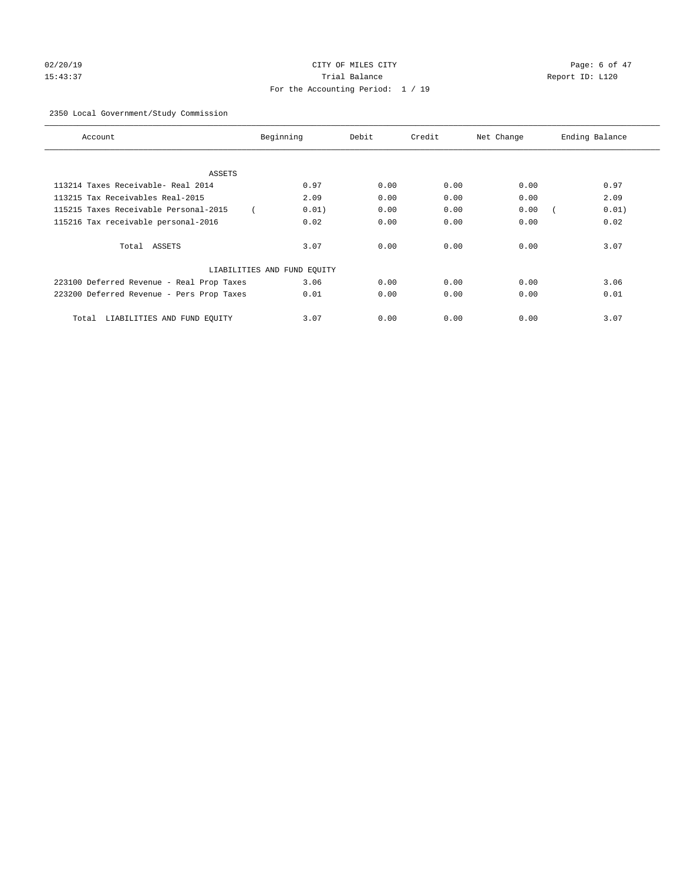# 02/20/19 CITY OF MILES CITY Page: 6 of 47 15:43:37 Trial Balance Report ID: L120 For the Accounting Period: 1 / 19

## 2350 Local Government/Study Commission

| Account                                   | Beginning                   | Debit | Credit | Net Change | Ending Balance |
|-------------------------------------------|-----------------------------|-------|--------|------------|----------------|
|                                           |                             |       |        |            |                |
| ASSETS                                    |                             |       |        |            |                |
| 113214 Taxes Receivable- Real 2014        | 0.97                        | 0.00  | 0.00   | 0.00       | 0.97           |
| 113215 Tax Receivables Real-2015          | 2.09                        | 0.00  | 0.00   | 0.00       | 2.09           |
| 115215 Taxes Receivable Personal-2015     | 0.01)                       | 0.00  | 0.00   | 0.00       | 0.01)          |
| 115216 Tax receivable personal-2016       | 0.02                        | 0.00  | 0.00   | 0.00       | 0.02           |
| Total ASSETS                              | 3.07                        | 0.00  | 0.00   | 0.00       | 3.07           |
|                                           | LIABILITIES AND FUND EQUITY |       |        |            |                |
| 223100 Deferred Revenue - Real Prop Taxes | 3.06                        | 0.00  | 0.00   | 0.00       | 3.06           |
| 223200 Deferred Revenue - Pers Prop Taxes | 0.01                        | 0.00  | 0.00   | 0.00       | 0.01           |
| LIABILITIES AND FUND EQUITY<br>Total      | 3.07                        | 0.00  | 0.00   | 0.00       | 3.07           |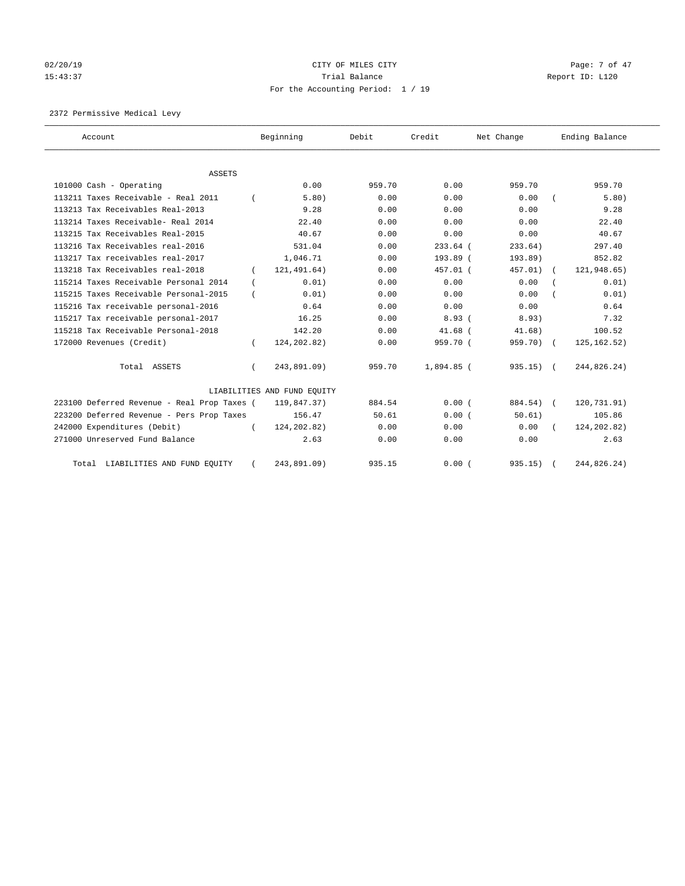# 02/20/19 CITY OF MILES CITY CHARGES CITY CONTROL Page: 7 of 47 15:43:37 Trial Balance Report ID: L120 For the Accounting Period: 1 / 19

2372 Permissive Medical Levy

| Account                                     | Beginning                   | Debit  | Credit     | Net Change  | Ending Balance |
|---------------------------------------------|-----------------------------|--------|------------|-------------|----------------|
| ASSETS                                      |                             |        |            |             |                |
| 101000 Cash - Operating                     | 0.00                        | 959.70 | 0.00       | 959.70      | 959.70         |
| 113211 Taxes Receivable - Real 2011         | 5.80)                       | 0.00   | 0.00       | 0.00        | 5.80)          |
| 113213 Tax Receivables Real-2013            | 9.28                        | 0.00   | 0.00       | 0.00        | 9.28           |
| 113214 Taxes Receivable- Real 2014          | 22.40                       | 0.00   | 0.00       | 0.00        | 22.40          |
| 113215 Tax Receivables Real-2015            | 40.67                       | 0.00   | 0.00       | 0.00        | 40.67          |
| 113216 Tax Receivables real-2016            | 531.04                      | 0.00   | $233.64$ ( | 233.64)     | 297.40         |
| 113217 Tax receivables real-2017            | 1,046.71                    | 0.00   | 193.89 (   | 193.89)     | 852.82         |
| 113218 Tax Receivables real-2018            | 121,491.64)                 | 0.00   | $457.01$ ( | 457.01)     | 121,948.65)    |
| 115214 Taxes Receivable Personal 2014       | 0.01)                       | 0.00   | 0.00       | 0.00        | 0.01)          |
| 115215 Taxes Receivable Personal-2015       | 0.01)                       | 0.00   | 0.00       | 0.00        | 0.01)          |
| 115216 Tax receivable personal-2016         | 0.64                        | 0.00   | 0.00       | 0.00        | 0.64           |
| 115217 Tax receivable personal-2017         | 16.25                       | 0.00   | 8.93(      | 8.93)       | 7.32           |
| 115218 Tax Receivable Personal-2018         | 142.20                      | 0.00   | $41.68$ (  | 41.68)      | 100.52         |
| 172000 Revenues (Credit)                    | 124, 202.82)                | 0.00   | 959.70 (   | 959.70) (   | 125, 162.52)   |
| Total ASSETS                                | 243,891.09)                 | 959.70 | 1,894.85 ( | $935.15)$ ( | 244,826.24)    |
|                                             | LIABILITIES AND FUND EQUITY |        |            |             |                |
| 223100 Deferred Revenue - Real Prop Taxes ( | 119,847.37)                 | 884.54 | 0.00(      | 884.54) (   | 120,731.91)    |
| 223200 Deferred Revenue - Pers Prop Taxes   | 156.47                      | 50.61  | 0.00(      | 50.61)      | 105.86         |
| 242000 Expenditures (Debit)                 | 124, 202.82)                | 0.00   | 0.00       | 0.00        | 124, 202.82)   |
| 271000 Unreserved Fund Balance              | 2.63                        | 0.00   | 0.00       | 0.00        | 2.63           |
| Total LIABILITIES AND FUND EQUITY           | 243,891.09)                 | 935.15 | 0.00(      | $935.15)$ ( | 244,826.24)    |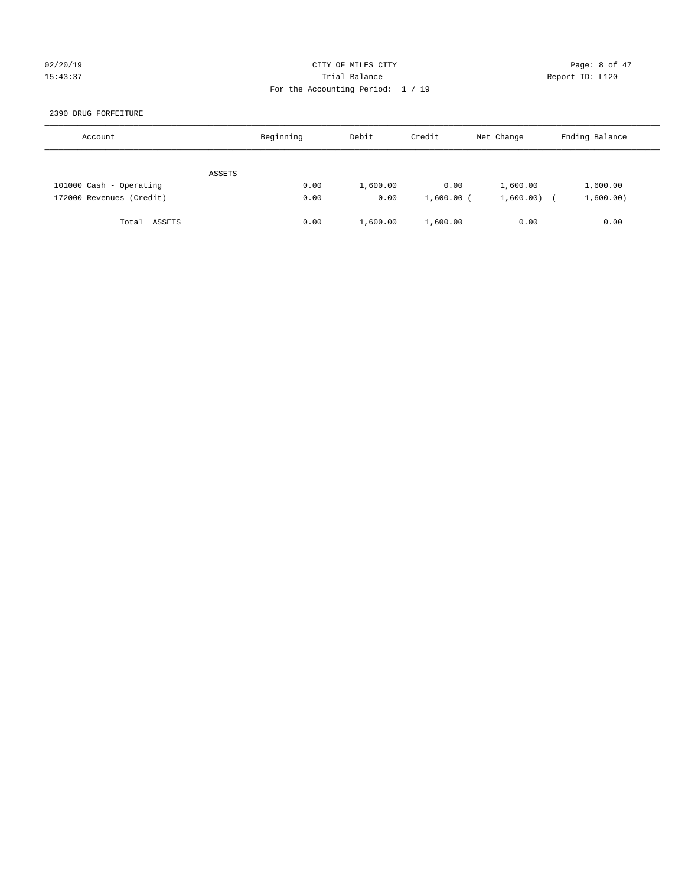## 02/20/19 CITY OF MILES CITY Page: 8 of 47 15:43:37 Trial Balance Report ID: L120 For the Accounting Period: 1 / 19

2390 DRUG FORFEITURE

| Account                  | Beginning | Debit    | Credit       | Net Change | Ending Balance |
|--------------------------|-----------|----------|--------------|------------|----------------|
| ASSETS                   |           |          |              |            |                |
| 101000 Cash - Operating  | 0.00      | 1,600.00 | 0.00         | 1,600.00   | 1,600.00       |
| 172000 Revenues (Credit) | 0.00      | 0.00     | $1,600.00$ ( | 1,600.00)  | 1,600.00)      |
| Total ASSETS             | 0.00      | 1,600.00 | 1,600.00     | 0.00       | 0.00           |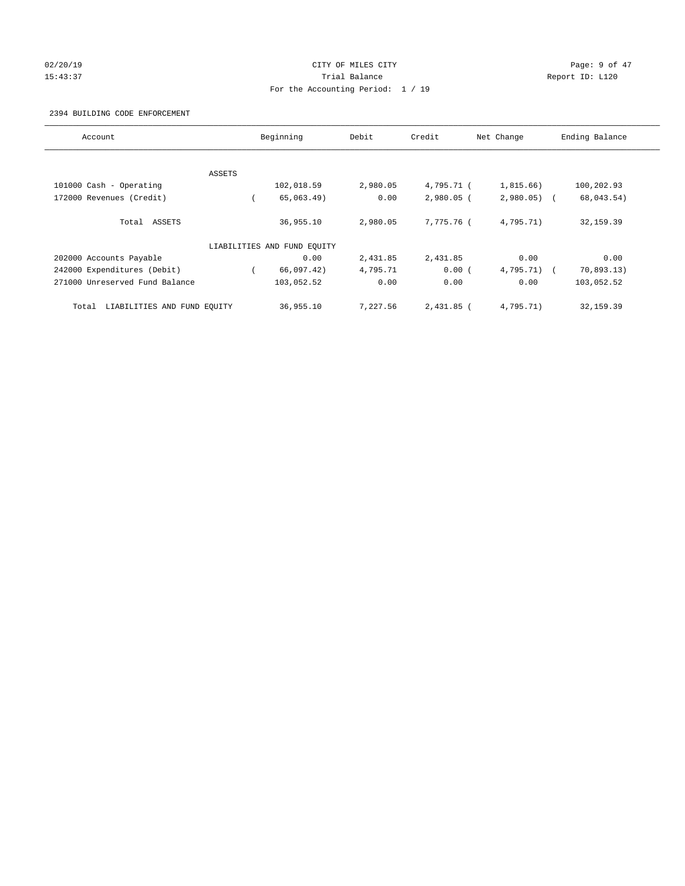## 02/20/19 CITY OF MILES CITY Page: 9 of 47 15:43:37 Trial Balance Report ID: L120 For the Accounting Period: 1 / 19

#### 2394 BUILDING CODE ENFORCEMENT

| Account                              |        | Beginning                   | Debit    | Credit       | Net Change   | Ending Balance |
|--------------------------------------|--------|-----------------------------|----------|--------------|--------------|----------------|
|                                      |        |                             |          |              |              |                |
|                                      | ASSETS |                             |          |              |              |                |
| 101000 Cash - Operating              |        | 102,018.59                  | 2,980.05 | 4,795.71 (   | 1,815.66)    | 100,202.93     |
| 172000 Revenues (Credit)             |        | 65,063.49)                  | 0.00     | $2,980.05$ ( | $2,980.05$ ( | 68,043.54)     |
| Total ASSETS                         |        | 36,955.10                   | 2,980.05 | 7.775.76 (   | 4,795.71)    | 32,159.39      |
|                                      |        | LIABILITIES AND FUND EQUITY |          |              |              |                |
| 202000 Accounts Payable              |        | 0.00                        | 2,431.85 | 2,431.85     | 0.00         | 0.00           |
| 242000 Expenditures (Debit)          |        | 66,097.42)                  | 4,795.71 | 0.00(        | $4,795.71$ ( | 70,893.13)     |
| 271000 Unreserved Fund Balance       |        | 103,052.52                  | 0.00     | 0.00         | 0.00         | 103,052.52     |
| LIABILITIES AND FUND EQUITY<br>Total |        | 36,955.10                   | 7,227.56 | $2.431.85$ ( | 4,795.71)    | 32, 159.39     |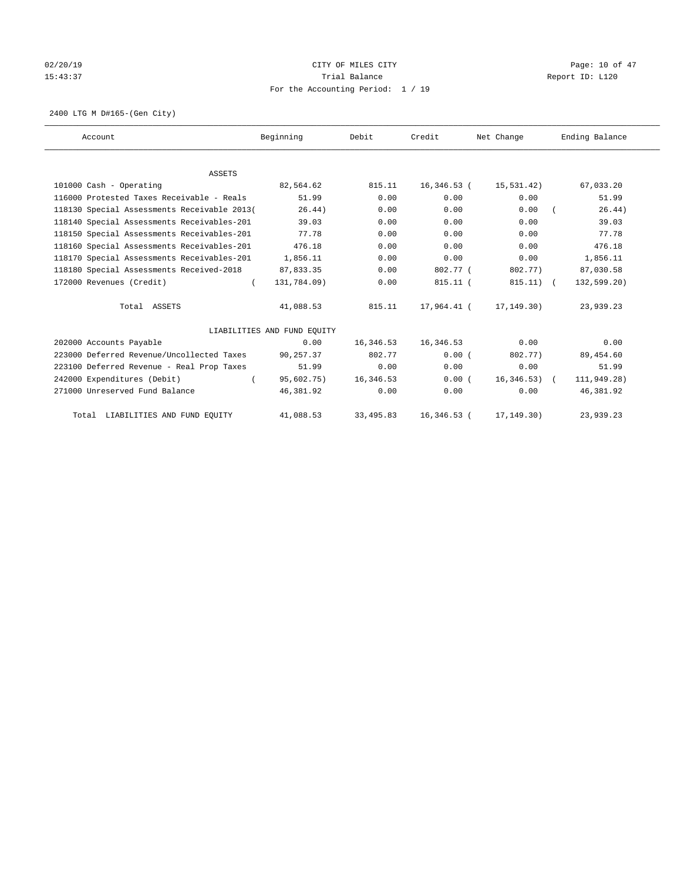## 02/20/19 **Page: 10 of 47** CITY OF MILES CITY **Page: 10 of 47** 15:43:37 Trial Balance Trial Balance Report ID: L120 For the Accounting Period: 1 / 19

2400 LTG M D#165-(Gen City)

| Account                                     | Beginning                   | Debit     | Credit      | Net Change    | Ending Balance |
|---------------------------------------------|-----------------------------|-----------|-------------|---------------|----------------|
|                                             |                             |           |             |               |                |
| <b>ASSETS</b>                               |                             |           |             |               |                |
| 101000 Cash - Operating                     | 82,564.62                   | 815.11    | 16,346.53 ( | 15,531.42)    | 67,033.20      |
| 116000 Protested Taxes Receivable - Reals   | 51.99                       | 0.00      | 0.00        | 0.00          | 51.99          |
| 118130 Special Assessments Receivable 2013( | 26.44)                      | 0.00      | 0.00        | 0.00          | 26.44)         |
| 118140 Special Assessments Receivables-201  | 39.03                       | 0.00      | 0.00        | 0.00          | 39.03          |
| 118150 Special Assessments Receivables-201  | 77.78                       | 0.00      | 0.00        | 0.00          | 77.78          |
| 118160 Special Assessments Receivables-201  | 476.18                      | 0.00      | 0.00        | 0.00          | 476.18         |
| 118170 Special Assessments Receivables-201  | 1,856.11                    | 0.00      | 0.00        | 0.00          | 1,856.11       |
| 118180 Special Assessments Received-2018    | 87,833.35                   | 0.00      | 802.77 (    | 802.77)       | 87,030.58      |
| 172000 Revenues (Credit)<br>$\left($        | 131,784.09)                 | 0.00      | $815.11$ (  | $815.11)$ (   | 132,599.20)    |
| Total ASSETS                                | 41,088.53                   | 815.11    | 17,964.41 ( | 17,149.30)    | 23,939.23      |
|                                             | LIABILITIES AND FUND EQUITY |           |             |               |                |
| 202000 Accounts Payable                     | 0.00                        | 16,346.53 | 16,346.53   | 0.00          | 0.00           |
| 223000 Deferred Revenue/Uncollected Taxes   | 90,257.37                   | 802.77    | 0.00(       | 802.77)       | 89,454.60      |
| 223100 Deferred Revenue - Real Prop Taxes   | 51.99                       | 0.00      | 0.00        | 0.00          | 51.99          |
| 242000 Expenditures (Debit)<br>$\left($     | 95,602.75)                  | 16,346.53 | 0.00(       | $16,346.53$ ( | 111,949.28)    |
| 271000 Unreserved Fund Balance              | 46,381.92                   | 0.00      | 0.00        | 0.00          | 46,381.92      |
| Total LIABILITIES AND FUND EQUITY           | 41,088.53                   | 33,495.83 | 16,346.53 ( | 17, 149. 30)  | 23,939.23      |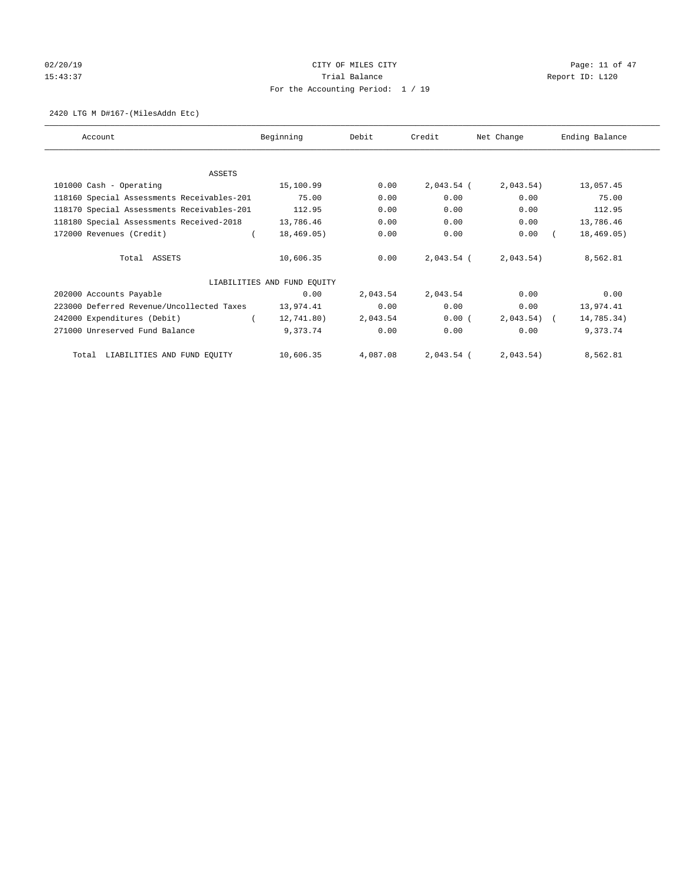## 02/20/19 **Page: 11 of 47** CITY OF MILES CITY **Page: 11 of 47** 15:43:37 Trial Balance Trial Balance Report ID: L120 For the Accounting Period: 1 / 19

#### 2420 LTG M D#167-(MilesAddn Etc)

| Account                                    | Beginning                   | Debit    | Credit       | Net Change   | Ending Balance |
|--------------------------------------------|-----------------------------|----------|--------------|--------------|----------------|
|                                            |                             |          |              |              |                |
| ASSETS                                     |                             |          |              |              |                |
| 101000 Cash - Operating                    | 15,100.99                   | 0.00     | $2,043.54$ ( | 2,043.54)    | 13,057.45      |
| 118160 Special Assessments Receivables-201 | 75.00                       | 0.00     | 0.00         | 0.00         | 75.00          |
| 118170 Special Assessments Receivables-201 | 112.95                      | 0.00     | 0.00         | 0.00         | 112.95         |
| 118180 Special Assessments Received-2018   | 13,786.46                   | 0.00     | 0.00         | 0.00         | 13,786.46      |
| 172000 Revenues (Credit)                   | 18,469.05)                  | 0.00     | 0.00         | 0.00         | 18,469.05)     |
| Total ASSETS                               | 10,606.35                   | 0.00     | $2,043.54$ ( | 2,043.54)    | 8,562.81       |
|                                            | LIABILITIES AND FUND EQUITY |          |              |              |                |
| 202000 Accounts Payable                    | 0.00                        | 2,043.54 | 2,043.54     | 0.00         | 0.00           |
| 223000 Deferred Revenue/Uncollected Taxes  | 13,974.41                   | 0.00     | 0.00         | 0.00         | 13,974.41      |
| 242000 Expenditures (Debit)                | 12,741.80)                  | 2,043.54 | 0.00(        | $2,043.54$ ( | 14,785.34)     |
| 271000 Unreserved Fund Balance             | 9,373.74                    | 0.00     | 0.00         | 0.00         | 9,373.74       |
| Total LIABILITIES AND FUND EQUITY          | 10,606.35                   | 4,087.08 | $2,043.54$ ( | 2,043.54)    | 8,562.81       |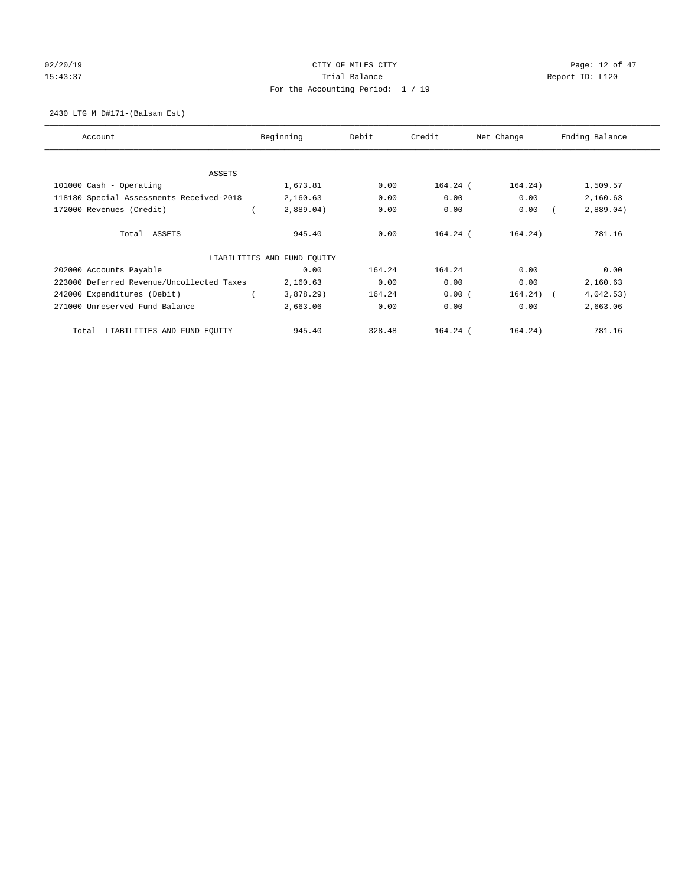# 02/20/19 CITY OF MILES CITY CHECK CONTROL Page: 12 of 47 15:43:37 Trial Balance Trial Balance Report ID: L120 For the Accounting Period: 1 / 19

2430 LTG M D#171-(Balsam Est)

| Account                                   | Beginning                   | Debit  | Credit     | Net Change  | Ending Balance |
|-------------------------------------------|-----------------------------|--------|------------|-------------|----------------|
|                                           |                             |        |            |             |                |
| ASSETS                                    |                             |        |            |             |                |
| 101000 Cash - Operating                   | 1,673.81                    | 0.00   | $164.24$ ( | 164.24)     | 1,509.57       |
| 118180 Special Assessments Received-2018  | 2,160.63                    | 0.00   | 0.00       | 0.00        | 2,160.63       |
| 172000 Revenues (Credit)                  | 2,889.04)                   | 0.00   | 0.00       | 0.00        | 2,889.04)      |
| Total ASSETS                              | 945.40                      | 0.00   | $164.24$ ( | 164.24)     | 781.16         |
|                                           | LIABILITIES AND FUND EQUITY |        |            |             |                |
| 202000 Accounts Payable                   | 0.00                        | 164.24 | 164.24     | 0.00        | 0.00           |
| 223000 Deferred Revenue/Uncollected Taxes | 2,160.63                    | 0.00   | 0.00       | 0.00        | 2,160.63       |
| 242000 Expenditures (Debit)               | 3,878.29                    | 164.24 | 0.00(      | $164.24)$ ( | 4,042.53)      |
| 271000 Unreserved Fund Balance            | 2,663.06                    | 0.00   | 0.00       | 0.00        | 2,663.06       |
| LIABILITIES AND FUND EQUITY<br>Total      | 945.40                      | 328.48 | $164.24$ ( | 164.24)     | 781.16         |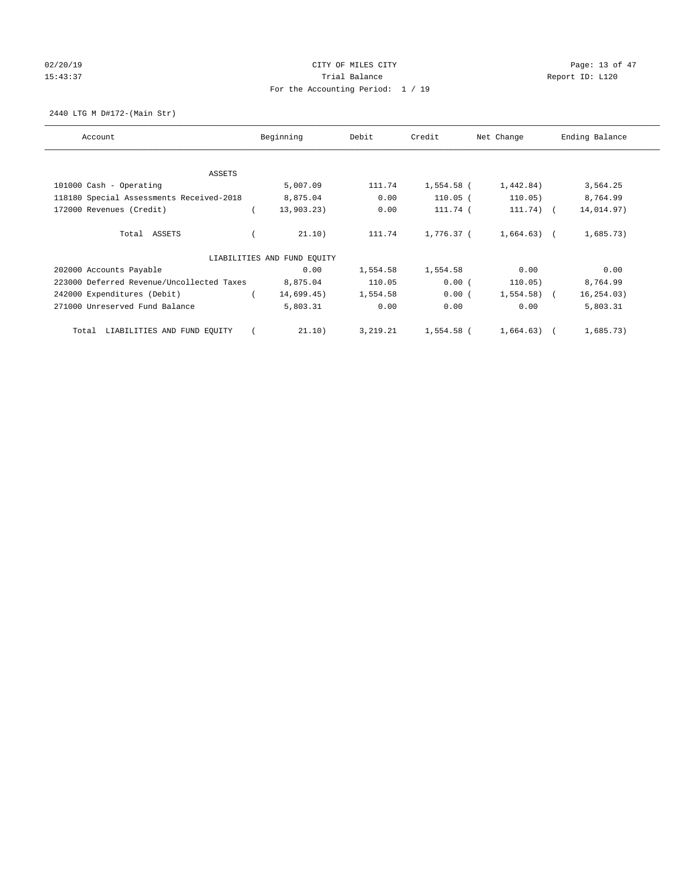# 02/20/19 CITY OF MILES CITY CHECK CONTROL Page: 13 of 47 15:43:37 Trial Balance Trial Balance Report ID: L120 For the Accounting Period: 1 / 19

2440 LTG M D#172-(Main Str)

| Account                                   | Beginning                   | Debit      | Credit     | Net Change   | Ending Balance |
|-------------------------------------------|-----------------------------|------------|------------|--------------|----------------|
|                                           |                             |            |            |              |                |
| ASSETS                                    |                             |            |            |              |                |
| 101000 Cash - Operating                   | 5,007.09                    | 111.74     | 1,554.58 ( | 1,442.84)    | 3,564.25       |
| 118180 Special Assessments Received-2018  | 8,875.04                    | 0.00       | $110.05$ ( | 110.05)      | 8,764.99       |
| 172000 Revenues (Credit)                  | 13,903.23)                  | 0.00       | 111.74 (   | $111.74)$ (  | 14,014.97)     |
| Total ASSETS                              | 21.10)                      | 111.74     | 1,776.37 ( | $1,664.63$ ( | 1,685.73)      |
|                                           | LIABILITIES AND FUND EQUITY |            |            |              |                |
| 202000 Accounts Payable                   | 0.00                        | 1,554.58   | 1,554.58   | 0.00         | 0.00           |
| 223000 Deferred Revenue/Uncollected Taxes | 8,875.04                    | 110.05     | 0.00(      | 110.05)      | 8,764.99       |
| 242000 Expenditures (Debit)               | 14,699.45)                  | 1,554.58   | 0.00(      | $1,554.58$ ( | 16, 254.03)    |
| 271000 Unreserved Fund Balance            | 5,803.31                    | 0.00       | 0.00       | 0.00         | 5,803.31       |
| LIABILITIES AND FUND EQUITY<br>Total      | 21.10)                      | 3, 219. 21 | 1,554.58 ( | $1,664.63$ ( | 1,685.73)      |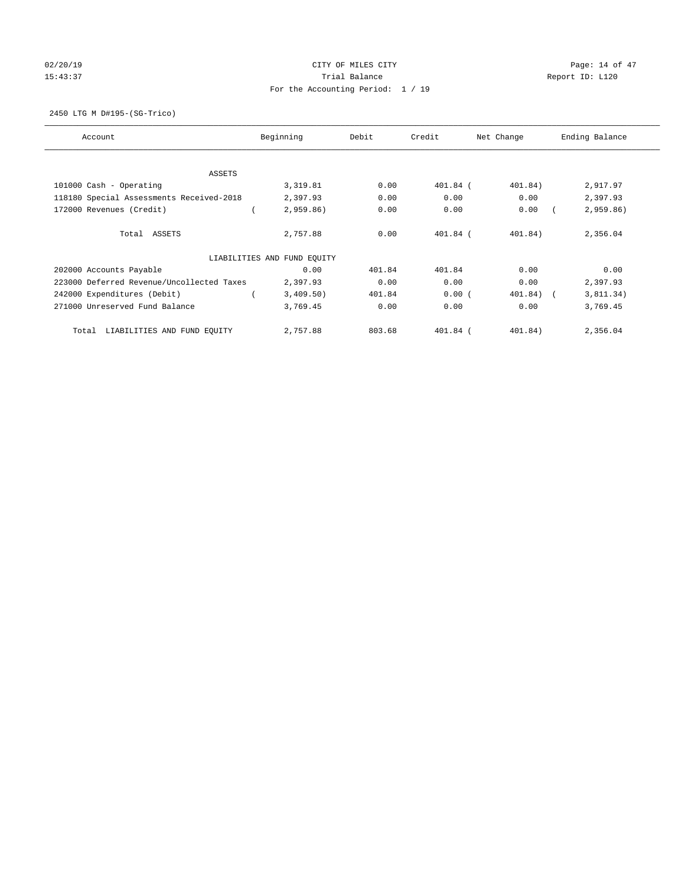# 02/20/19 CITY OF MILES CITY CHECK CONTROL Page: 14 of 47 15:43:37 Trial Balance Trial Balance Report ID: L120 For the Accounting Period: 1 / 19

2450 LTG M D#195-(SG-Trico)

| Account                                   | Beginning                   | Debit  | Credit     | Net Change   | Ending Balance |
|-------------------------------------------|-----------------------------|--------|------------|--------------|----------------|
| ASSETS                                    |                             |        |            |              |                |
| 101000 Cash - Operating                   | 3,319.81                    | 0.00   | $401.84$ ( | 401.84)      | 2,917.97       |
| 118180 Special Assessments Received-2018  | 2,397.93                    | 0.00   | 0.00       | 0.00         | 2,397.93       |
| 172000 Revenues (Credit)                  | 2,959.86                    | 0.00   | 0.00       | 0.00         | 2,959.86)      |
| Total ASSETS                              | 2,757.88                    | 0.00   | $401.84$ ( | 401.84)      | 2,356.04       |
|                                           | LIABILITIES AND FUND EQUITY |        |            |              |                |
| 202000 Accounts Payable                   | 0.00                        | 401.84 | 401.84     | 0.00         | 0.00           |
| 223000 Deferred Revenue/Uncollected Taxes | 2,397.93                    | 0.00   | 0.00       | 0.00         | 2,397.93       |
| 242000 Expenditures (Debit)               | 3,409.50)                   | 401.84 | 0.00(      | $401.84$ ) ( | 3,811.34)      |
| 271000 Unreserved Fund Balance            | 3,769.45                    | 0.00   | 0.00       | 0.00         | 3,769.45       |
| LIABILITIES AND FUND EQUITY<br>Total      | 2,757.88                    | 803.68 | $401.84$ ( | 401.84)      | 2,356.04       |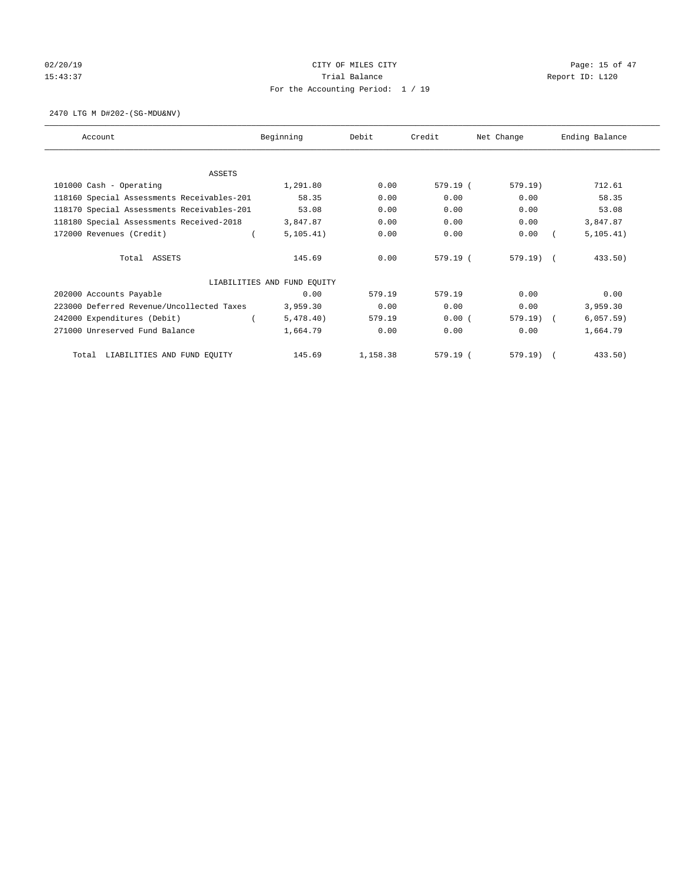# 02/20/19 CITY OF MILES CITY CHECK CITY CHECK CONTROLLER PAGE: 15 of 47 15:43:37 Trial Balance Trial Balance Report ID: L120 For the Accounting Period: 1 / 19

2470 LTG M D#202-(SG-MDU&NV)

| Account                                    | Beginning                   | Debit    | Credit   | Net Change | Ending Balance |
|--------------------------------------------|-----------------------------|----------|----------|------------|----------------|
| ASSETS                                     |                             |          |          |            |                |
| 101000 Cash - Operating                    | 1,291.80                    | 0.00     | 579.19 ( | 579.19)    | 712.61         |
| 118160 Special Assessments Receivables-201 | 58.35                       | 0.00     | 0.00     | 0.00       | 58.35          |
| 118170 Special Assessments Receivables-201 | 53.08                       | 0.00     | 0.00     | 0.00       | 53.08          |
| 118180 Special Assessments Received-2018   | 3,847.87                    | 0.00     | 0.00     | 0.00       | 3,847.87       |
| 172000 Revenues (Credit)                   | 5, 105.41)                  | 0.00     | 0.00     | 0.00       | 5, 105.41)     |
| Total ASSETS                               | 145.69                      | 0.00     | 579.19 ( | $579.19$ ( | 433.50)        |
|                                            | LIABILITIES AND FUND EQUITY |          |          |            |                |
| 202000 Accounts Payable                    | 0.00                        | 579.19   | 579.19   | 0.00       | 0.00           |
| 223000 Deferred Revenue/Uncollected Taxes  | 3,959.30                    | 0.00     | 0.00     | 0.00       | 3,959.30       |
| 242000 Expenditures (Debit)                | 5,478.40)                   | 579.19   | 0.00(    | $579.19$ ( | 6,057.59)      |
| 271000 Unreserved Fund Balance             | 1,664.79                    | 0.00     | 0.00     | 0.00       | 1,664.79       |
| LIABILITIES AND FUND EQUITY<br>Total       | 145.69                      | 1,158.38 | 579.19(  | 579.19     | 433.50         |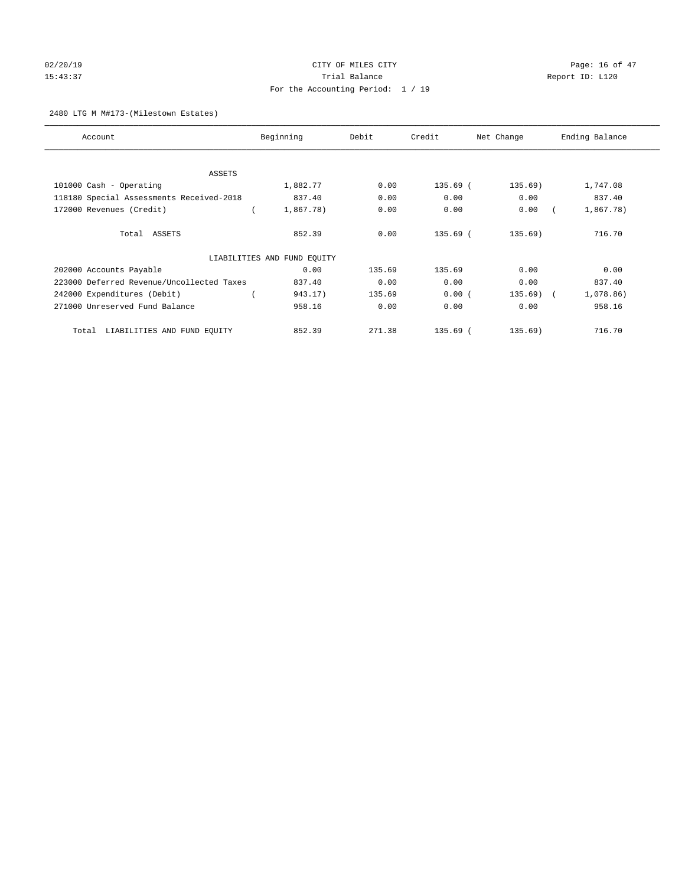## $O(2/20/19$   $O(2/20/19)$   $O(2/20/19)$   $O(2/20/19)$   $O(2/20/19)$   $O(2/20/19)$   $O(2/20/19)$ 15:43:37 Trial Balance Trial Balance Report ID: L120 For the Accounting Period: 1 / 19

#### 2480 LTG M M#173-(Milestown Estates)

| Account                                   | Beginning                   | Debit  | Credit     | Net Change | Ending Balance |
|-------------------------------------------|-----------------------------|--------|------------|------------|----------------|
|                                           |                             |        |            |            |                |
| ASSETS                                    |                             |        |            |            |                |
| 101000 Cash - Operating                   | 1,882.77                    | 0.00   | 135.69 (   | 135.69)    | 1,747.08       |
| 118180 Special Assessments Received-2018  | 837.40                      | 0.00   | 0.00       | 0.00       | 837.40         |
| 172000 Revenues (Credit)                  | 1,867.78)                   | 0.00   | 0.00       | 0.00       | 1,867.78)      |
| Total ASSETS                              | 852.39                      | 0.00   | 135.69 (   | 135.69)    | 716.70         |
|                                           | LIABILITIES AND FUND EQUITY |        |            |            |                |
| 202000 Accounts Payable                   | 0.00                        | 135.69 | 135.69     | 0.00       | 0.00           |
| 223000 Deferred Revenue/Uncollected Taxes | 837.40                      | 0.00   | 0.00       | 0.00       | 837.40         |
| 242000 Expenditures (Debit)               | 943.17)                     | 135.69 | 0.00(      | $135.69$ ( | 1,078.86)      |
| 271000 Unreserved Fund Balance            | 958.16                      | 0.00   | 0.00       | 0.00       | 958.16         |
| LIABILITIES AND FUND EQUITY<br>Total      | 852.39                      | 271.38 | $135.69$ ( | 135.69)    | 716.70         |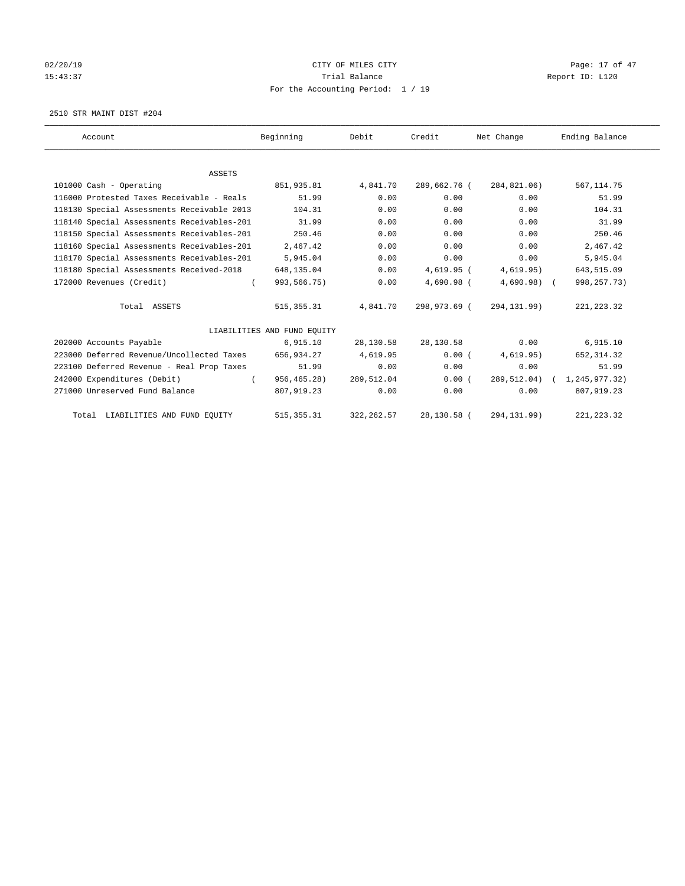# 02/20/19 CITY OF MILES CITY CHECK CONTROL Page: 17 of 47 15:43:37 Trial Balance Trial Balance Report ID: L120 For the Accounting Period: 1 / 19

2510 STR MAINT DIST #204

| Account                                    | Beginning                   | Debit       | Credit       | Net Change   | Ending Balance              |
|--------------------------------------------|-----------------------------|-------------|--------------|--------------|-----------------------------|
|                                            |                             |             |              |              |                             |
| <b>ASSETS</b>                              |                             |             |              |              |                             |
| 101000 Cash - Operating                    | 851,935.81                  | 4,841.70    | 289,662.76 ( | 284,821.06)  | 567, 114.75                 |
| 116000 Protested Taxes Receivable - Reals  | 51.99                       | 0.00        | 0.00         | 0.00         | 51.99                       |
| 118130 Special Assessments Receivable 2013 | 104.31                      | 0.00        | 0.00         | 0.00         | 104.31                      |
| 118140 Special Assessments Receivables-201 | 31.99                       | 0.00        | 0.00         | 0.00         | 31.99                       |
| 118150 Special Assessments Receivables-201 | 250.46                      | 0.00        | 0.00         | 0.00         | 250.46                      |
| 118160 Special Assessments Receivables-201 | 2,467.42                    | 0.00        | 0.00         | 0.00         | 2,467.42                    |
| 118170 Special Assessments Receivables-201 | 5,945.04                    | 0.00        | 0.00         | 0.00         | 5,945.04                    |
| 118180 Special Assessments Received-2018   | 648,135.04                  | 0.00        | 4,619.95 (   | 4,619.95)    | 643,515.09                  |
| 172000 Revenues (Credit)<br>$\left($       | 993,566.75)                 | 0.00        | $4.690.98$ ( | $4,690.98$ ( | 998, 257. 73)               |
| Total ASSETS                               | 515,355.31                  | 4,841.70    | 298,973.69 ( | 294,131.99)  | 221, 223.32                 |
|                                            | LIABILITIES AND FUND EQUITY |             |              |              |                             |
| 202000 Accounts Payable                    | 6,915.10                    | 28,130.58   | 28,130.58    | 0.00         | 6,915.10                    |
| 223000 Deferred Revenue/Uncollected Taxes  | 656,934.27                  | 4,619.95    | 0.00(        | 4,619.95)    | 652, 314.32                 |
| 223100 Deferred Revenue - Real Prop Taxes  | 51.99                       | 0.00        | 0.00         | 0.00         | 51.99                       |
| 242000 Expenditures (Debit)<br>$\sqrt{2}$  | 956,465.28)                 | 289,512.04  | 0.00(        |              | 289,512.04) ( 1,245,977.32) |
| 271000 Unreserved Fund Balance             | 807,919.23                  | 0.00        | 0.00         | 0.00         | 807,919.23                  |
| Total LIABILITIES AND FUND EQUITY          | 515, 355.31                 | 322, 262.57 | 28,130.58 (  | 294, 131.99) | 221, 223.32                 |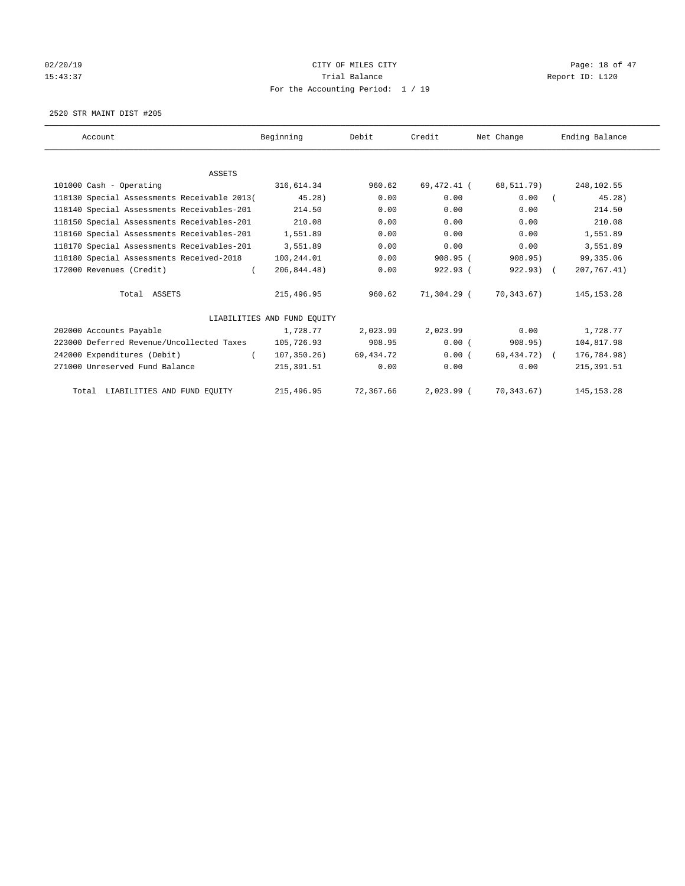## 02/20/19 **Page: 18 of 47** CITY OF MILES CITY **Page: 18 of 47** 15:43:37 Trial Balance Trial Balance Report ID: L120 For the Accounting Period: 1 / 19

2520 STR MAINT DIST #205

| Account                                     | Beginning                   | Debit     | Credit       | Net Change   | Ending Balance |
|---------------------------------------------|-----------------------------|-----------|--------------|--------------|----------------|
|                                             |                             |           |              |              |                |
| ASSETS                                      |                             |           |              |              |                |
| 101000 Cash - Operating                     | 316,614.34                  | 960.62    | 69,472.41 (  | 68,511.79)   | 248,102.55     |
| 118130 Special Assessments Receivable 2013( | $45.28$ )                   | 0.00      | 0.00         | 0.00         | 45.28          |
| 118140 Special Assessments Receivables-201  | 214.50                      | 0.00      | 0.00         | 0.00         | 214.50         |
| 118150 Special Assessments Receivables-201  | 210.08                      | 0.00      | 0.00         | 0.00         | 210.08         |
| 118160 Special Assessments Receivables-201  | 1,551.89                    | 0.00      | 0.00         | 0.00         | 1,551.89       |
| 118170 Special Assessments Receivables-201  | 3,551.89                    | 0.00      | 0.00         | 0.00         | 3,551.89       |
| 118180 Special Assessments Received-2018    | 100,244.01                  | 0.00      | $908.95$ (   | 908.95)      | 99, 335.06     |
| 172000 Revenues (Credit)<br>$\left($        | 206,844.48)                 | 0.00      | 922.93 (     | $922.93)$ (  | 207, 767.41)   |
| Total ASSETS                                | 215,496.95                  | 960.62    | 71,304.29 (  | 70,343.67)   | 145, 153. 28   |
|                                             | LIABILITIES AND FUND EQUITY |           |              |              |                |
| 202000 Accounts Payable                     | 1,728.77                    | 2,023.99  | 2,023.99     | 0.00         | 1,728.77       |
| 223000 Deferred Revenue/Uncollected Taxes   | 105,726.93                  | 908.95    | 0.00(        | 908.95)      | 104,817.98     |
| 242000 Expenditures (Debit)<br>$\left($     | 107, 350.26)                | 69,434.72 | 0.00(        | 69,434.72) ( | 176,784.98)    |
| 271000 Unreserved Fund Balance              | 215, 391.51                 | 0.00      | 0.00         | 0.00         | 215, 391.51    |
| Total LIABILITIES AND FUND EQUITY           | 215,496.95                  | 72,367.66 | $2,023.99$ ( | 70,343.67)   | 145, 153. 28   |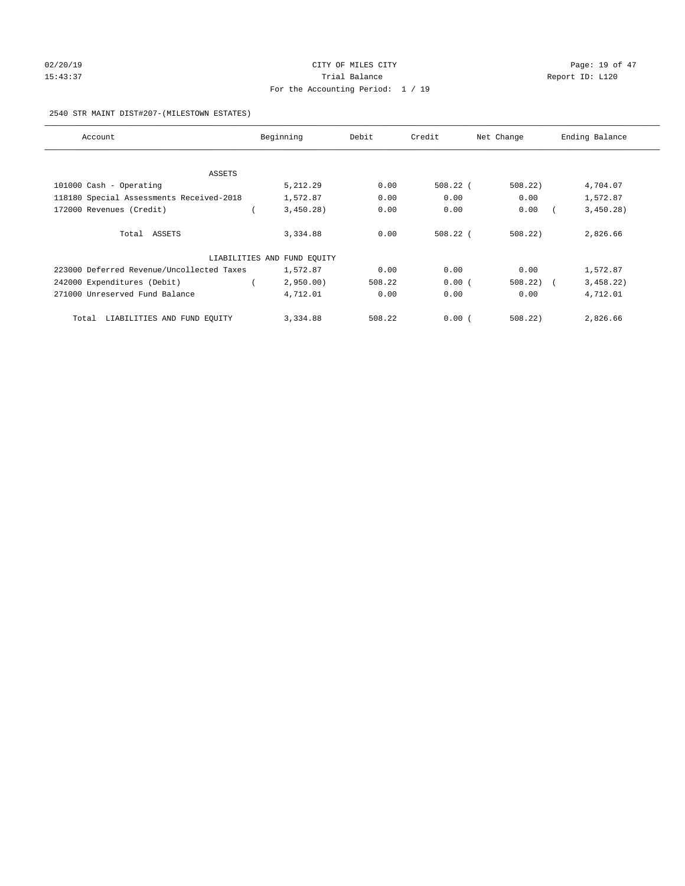## 02/20/19 **Page: 19 of 47** CITY OF MILES CITY **Page: 19 of 47** 15:43:37 Trial Balance Trial Balance Report ID: L120 For the Accounting Period: 1 / 19

#### 2540 STR MAINT DIST#207-(MILESTOWN ESTATES)

| Account                                   | Beginning                   | Debit  | Credit     | Net Change | Ending Balance |
|-------------------------------------------|-----------------------------|--------|------------|------------|----------------|
|                                           |                             |        |            |            |                |
| ASSETS                                    |                             |        |            |            |                |
| 101000 Cash - Operating                   | 5,212.29                    | 0.00   | $508.22$ ( | 508.22     | 4,704.07       |
| 118180 Special Assessments Received-2018  | 1,572.87                    | 0.00   | 0.00       | 0.00       | 1,572.87       |
| 172000 Revenues (Credit)                  | 3,450.28)                   | 0.00   | 0.00       | 0.00       | 3,450.28)      |
|                                           |                             |        |            |            |                |
| Total ASSETS                              | 3,334.88                    | 0.00   | $508.22$ ( | 508.22     | 2,826.66       |
|                                           |                             |        |            |            |                |
|                                           | LIABILITIES AND FUND EQUITY |        |            |            |                |
| 223000 Deferred Revenue/Uncollected Taxes | 1,572.87                    | 0.00   | 0.00       | 0.00       | 1,572.87       |
| 242000 Expenditures (Debit)               | 2,950.00                    | 508.22 | 0.00(      | 508.22     | 3,458.22)      |
| 271000 Unreserved Fund Balance            | 4,712.01                    | 0.00   | 0.00       | 0.00       | 4,712.01       |
|                                           |                             |        |            |            |                |
| Total LIABILITIES AND FUND EQUITY         | 3,334.88                    | 508.22 | 0.00(      | 508.22     | 2,826.66       |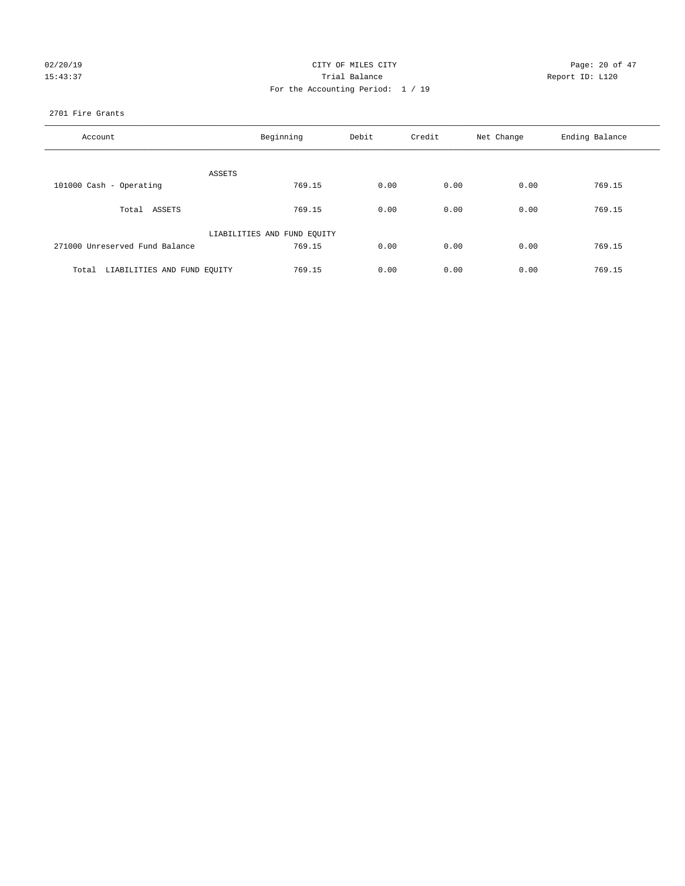| 02/20/19 |  |
|----------|--|
| 15:43:37 |  |

## CITY OF MILES CITY CONTROL CONTROL CITY CONTROL Page: 20 of 47 Partial Balance and Communications of the Report ID: L120 For the Accounting Period: 1 / 19

#### 2701 Fire Grants

| Account                              | Beginning                   | Debit | Credit | Net Change | Ending Balance |
|--------------------------------------|-----------------------------|-------|--------|------------|----------------|
|                                      |                             |       |        |            |                |
|                                      | ASSETS                      |       |        |            |                |
| 101000 Cash - Operating              | 769.15                      | 0.00  | 0.00   | 0.00       | 769.15         |
| Total ASSETS                         | 769.15                      | 0.00  | 0.00   | 0.00       | 769.15         |
|                                      | LIABILITIES AND FUND EQUITY |       |        |            |                |
| 271000 Unreserved Fund Balance       | 769.15                      | 0.00  | 0.00   | 0.00       | 769.15         |
|                                      |                             |       |        |            |                |
| LIABILITIES AND FUND EQUITY<br>Total | 769.15                      | 0.00  | 0.00   | 0.00       | 769.15         |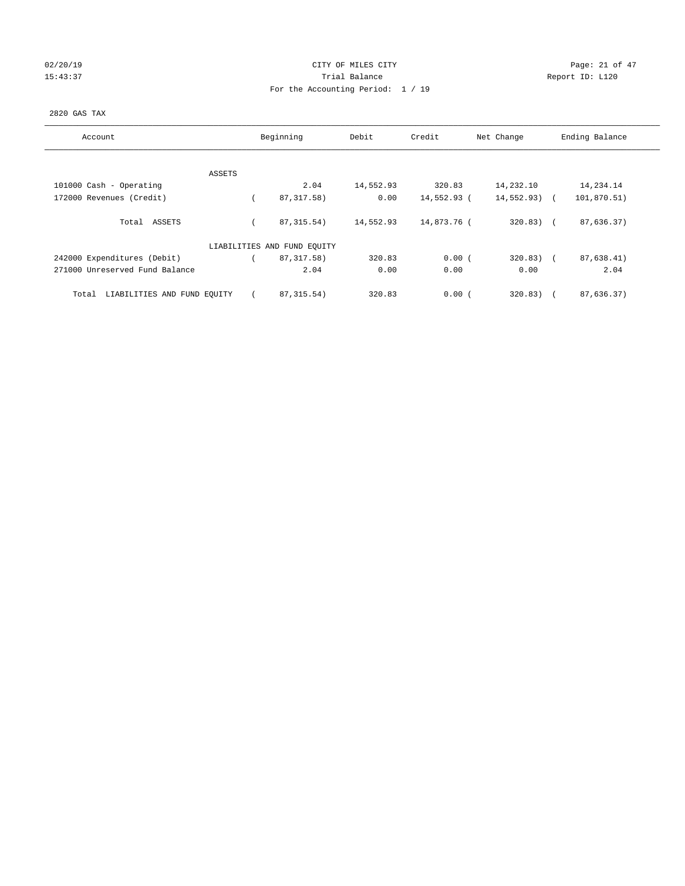# $O2/20/19$  Page: 21 of 47 15:43:37 Trial Balance Trial Balance Report ID: L120 For the Accounting Period: 1 / 19

#### 2820 GAS TAX

| Account                              | Beginning                   | Debit     | Credit      | Net Change    |        | Ending Balance |
|--------------------------------------|-----------------------------|-----------|-------------|---------------|--------|----------------|
| ASSETS                               |                             |           |             |               |        |                |
| 101000 Cash - Operating              | 2.04                        | 14,552.93 | 320.83      | 14,232.10     |        | 14,234.14      |
| 172000 Revenues (Credit)             | 87, 317.58)                 | 0.00      | 14,552.93 ( | $14,552.93$ ( |        | 101,870.51)    |
| Total ASSETS                         | 87, 315.54)                 | 14,552.93 | 14,873.76 ( | $320.83)$ (   |        | 87,636.37)     |
|                                      | LIABILITIES AND FUND EQUITY |           |             |               |        |                |
| 242000 Expenditures (Debit)          | 87, 317.58)                 | 320.83    | 0.00(       | $320.83$ ) (  |        | 87,638.41)     |
| 271000 Unreserved Fund Balance       | 2.04                        | 0.00      | 0.00        | 0.00          |        | 2.04           |
| LIABILITIES AND FUND EQUITY<br>Total | 87, 315.54)                 | 320.83    | 0.00(       | 320.83)       | $\sim$ | 87,636.37)     |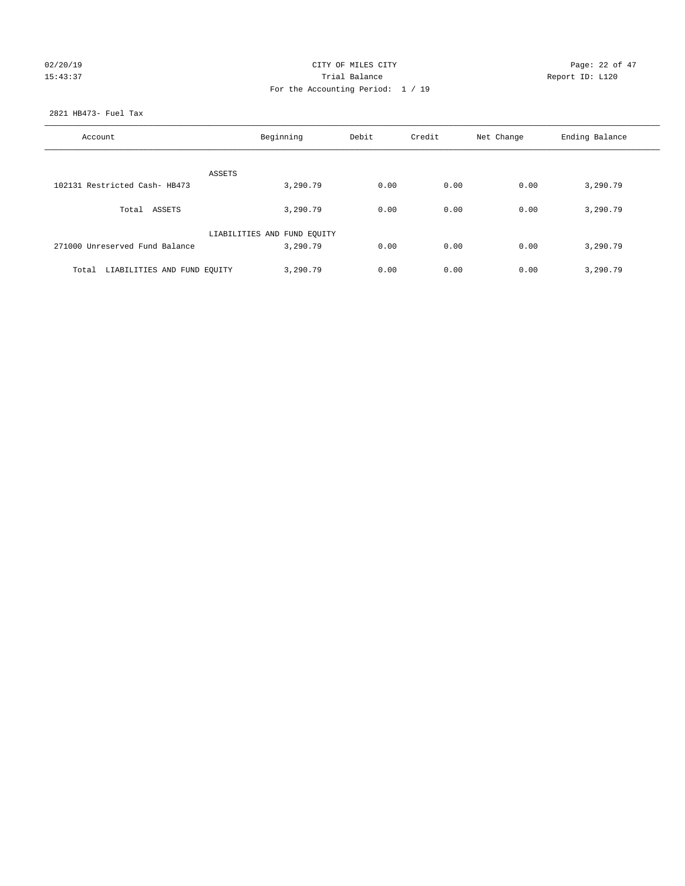# 02/20/19 CITY OF MILES CITY CHECK CONTROL Page: 22 of 47 15:43:37 Trial Balance Trial Balance Report ID: L120 For the Accounting Period: 1 / 19

#### 2821 HB473- Fuel Tax

| Account                           | Beginning                               | Debit | Credit | Net Change | Ending Balance |
|-----------------------------------|-----------------------------------------|-------|--------|------------|----------------|
| ASSETS                            |                                         |       |        |            |                |
| 102131 Restricted Cash- HB473     | 3,290.79                                | 0.00  | 0.00   | 0.00       | 3,290.79       |
| Total ASSETS                      | 3,290.79                                | 0.00  | 0.00   | 0.00       | 3,290.79       |
| 271000 Unreserved Fund Balance    | LIABILITIES AND FUND EQUITY<br>3,290.79 | 0.00  | 0.00   | 0.00       | 3,290.79       |
| Total LIABILITIES AND FUND EQUITY | 3,290.79                                | 0.00  | 0.00   | 0.00       | 3,290.79       |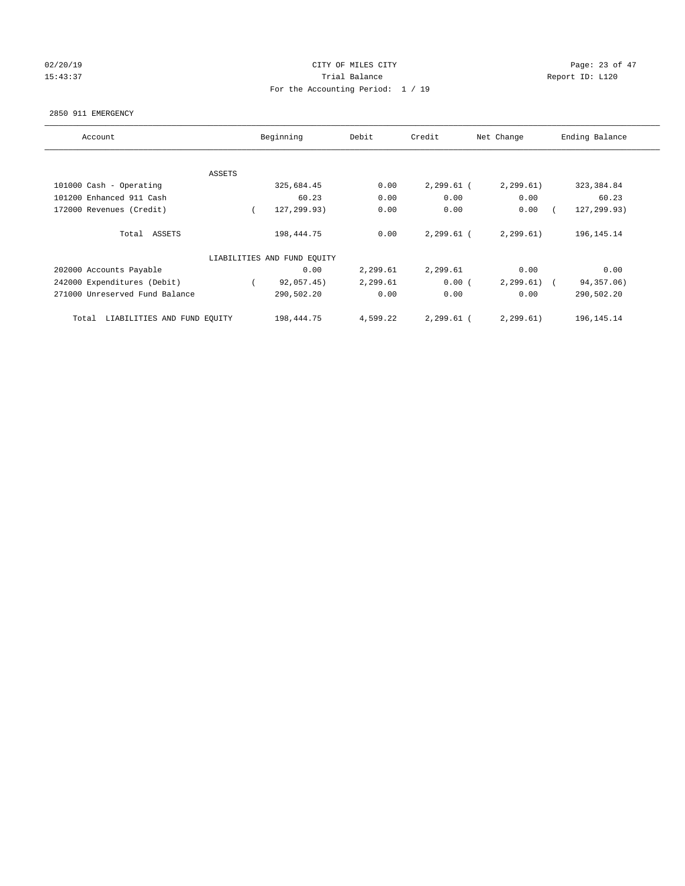## 02/20/19 **Page: 23 of 47** CITY OF MILES CITY **Page: 23 of 47** 15:43:37 Trial Balance Trial Balance Report ID: L120 For the Accounting Period: 1 / 19

#### 2850 911 EMERGENCY

| Account                              | Beginning                   | Debit    | Credit       | Net Change | Ending Balance           |
|--------------------------------------|-----------------------------|----------|--------------|------------|--------------------------|
|                                      |                             |          |              |            |                          |
| ASSETS                               |                             |          |              |            |                          |
| 101000 Cash - Operating              | 325,684.45                  | 0.00     | $2,299.61$ ( | 2, 299.61) | 323, 384.84              |
| 101200 Enhanced 911 Cash             | 60.23                       | 0.00     | 0.00         | 0.00       | 60.23                    |
| 172000 Revenues (Credit)             | 127,299.93)                 | 0.00     | 0.00         | 0.00       | 127,299.93)              |
|                                      |                             |          |              |            |                          |
| Total ASSETS                         | 198,444.75                  | 0.00     | $2,299.61$ ( | 2, 299.61) | 196, 145. 14             |
|                                      | LIABILITIES AND FUND EQUITY |          |              |            |                          |
|                                      |                             |          |              |            |                          |
| 202000 Accounts Payable              | 0.00                        | 2,299.61 | 2,299.61     | 0.00       | 0.00                     |
| 242000 Expenditures (Debit)          | 92,057.45)                  | 2,299.61 | 0.00(        | 2, 299.61) | 94,357.06)<br>$\sqrt{2}$ |
| 271000 Unreserved Fund Balance       | 290,502.20                  | 0.00     | 0.00         | 0.00       | 290,502.20               |
|                                      |                             |          |              |            |                          |
| LIABILITIES AND FUND EQUITY<br>Total | 198,444.75                  | 4,599.22 | 2,299.61 (   | 2, 299.61) | 196, 145. 14             |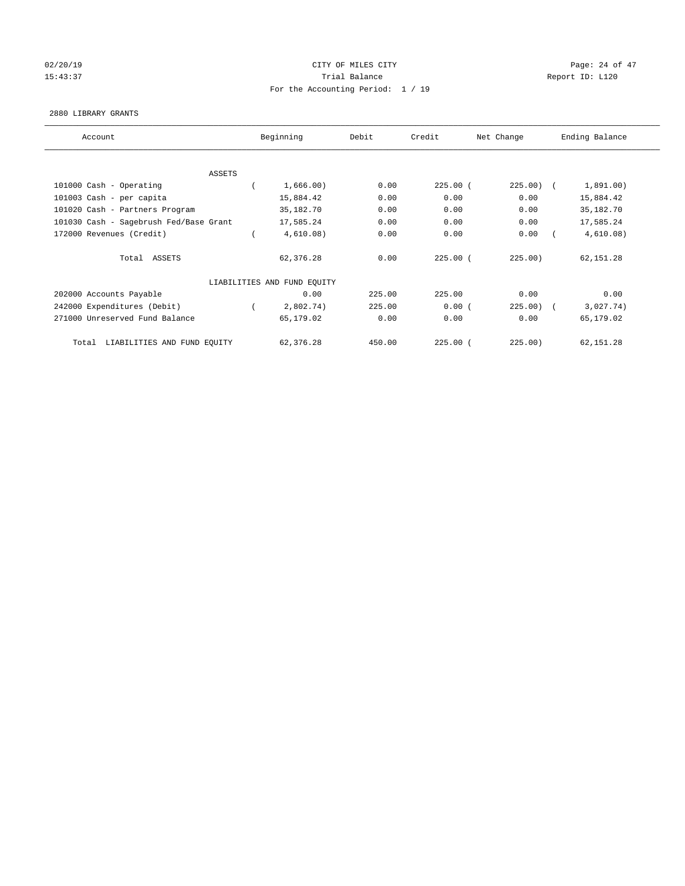## $O(2/20/19$  Page: 24 of 47 15:43:37 Trial Balance Report ID: L120 For the Accounting Period: 1 / 19

#### 2880 LIBRARY GRANTS

| Account                                | Beginning                   | Debit  | Credit     | Net Change   | Ending Balance |
|----------------------------------------|-----------------------------|--------|------------|--------------|----------------|
|                                        |                             |        |            |              |                |
| ASSETS                                 |                             |        |            |              |                |
| 101000 Cash - Operating                | 1,666.00)                   | 0.00   | $225.00$ ( | $225.00$ ) ( | 1,891.00)      |
| 101003 Cash - per capita               | 15,884.42                   | 0.00   | 0.00       | 0.00         | 15,884.42      |
| 101020 Cash - Partners Program         | 35,182.70                   | 0.00   | 0.00       | 0.00         | 35,182.70      |
| 101030 Cash - Sagebrush Fed/Base Grant | 17,585.24                   | 0.00   | 0.00       | 0.00         | 17,585.24      |
| 172000 Revenues (Credit)               | 4,610.08)                   | 0.00   | 0.00       | 0.00         | 4,610.08)      |
| Total ASSETS                           | 62,376.28                   | 0.00   | $225.00$ ( | 225.00)      | 62,151.28      |
|                                        | LIABILITIES AND FUND EQUITY |        |            |              |                |
| 202000 Accounts Payable                | 0.00                        | 225.00 | 225.00     | 0.00         | 0.00           |
| 242000 Expenditures (Debit)            | 2,802.74)                   | 225.00 | 0.00(      | $225.00$ (   | 3,027.74)      |
| 271000 Unreserved Fund Balance         | 65,179.02                   | 0.00   | 0.00       | 0.00         | 65,179.02      |
| LIABILITIES AND FUND EQUITY<br>Total   | 62,376.28                   | 450.00 | $225.00$ ( | 225.00)      | 62,151.28      |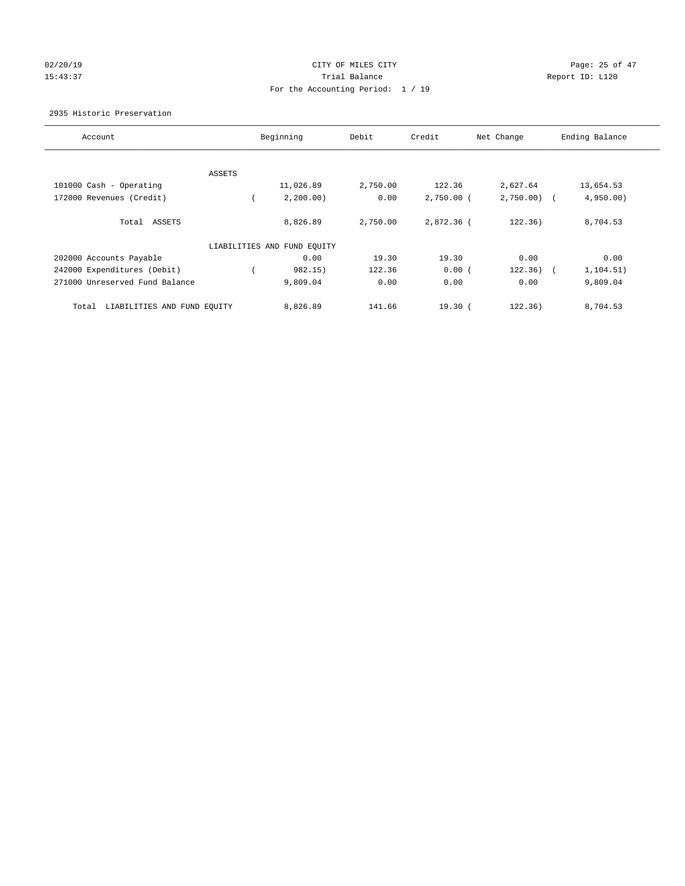## $O(2/20/19$  Page: 25 of 47 15:43:37 Trial Balance Report ID: L120 For the Accounting Period: 1 / 19

#### 2935 Historic Preservation

| Account                              | Beginning                   | Debit    | Credit       | Net Change   | Ending Balance |
|--------------------------------------|-----------------------------|----------|--------------|--------------|----------------|
|                                      |                             |          |              |              |                |
| ASSETS                               |                             |          |              |              |                |
| 101000 Cash - Operating              | 11,026.89                   | 2,750.00 | 122.36       | 2,627.64     | 13,654.53      |
| 172000 Revenues (Credit)             | 2, 200.00)                  | 0.00     | $2,750.00$ ( | $2,750.00$ ( | 4,950.00       |
| Total ASSETS                         | 8,826.89                    | 2,750.00 | 2,872.36 (   | 122.36)      | 8,704.53       |
|                                      | LIABILITIES AND FUND EQUITY |          |              |              |                |
| 202000 Accounts Payable              | 0.00                        | 19.30    | 19.30        | 0.00         | 0.00           |
| 242000 Expenditures (Debit)          | 982.15)                     | 122.36   | 0.00(        | 122.36)      | 1,104.51)      |
| 271000 Unreserved Fund Balance       | 9,809.04                    | 0.00     | 0.00         | 0.00         | 9,809.04       |
| LIABILITIES AND FUND EQUITY<br>Total | 8,826.89                    | 141.66   | $19.30$ $($  | 122.36)      | 8,704.53       |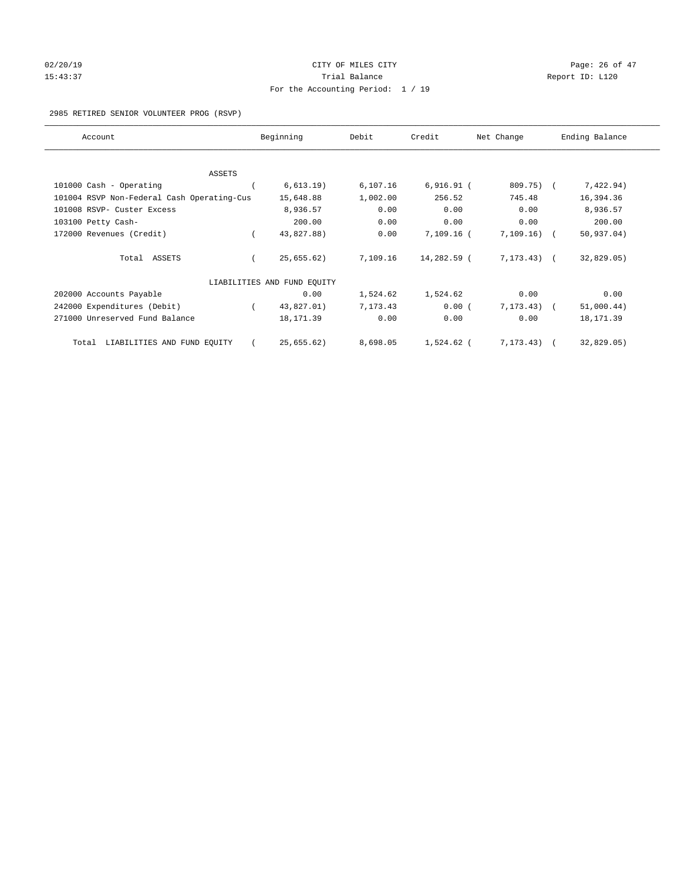# $O(2/20/19$  Page: 26 of 47 15:43:37 Trial Balance Report ID: L120 For the Accounting Period: 1 / 19

#### 2985 RETIRED SENIOR VOLUNTEER PROG (RSVP)

| Account                                    | Beginning                   | Debit    | Credit       | Net Change     | Ending Balance |
|--------------------------------------------|-----------------------------|----------|--------------|----------------|----------------|
|                                            |                             |          |              |                |                |
| <b>ASSETS</b>                              |                             |          |              |                |                |
| 101000 Cash - Operating                    | 6, 613.19)                  | 6,107.16 | $6,916.91$ ( | 809.75) (      | 7,422.94)      |
| 101004 RSVP Non-Federal Cash Operating-Cus | 15,648.88                   | 1,002.00 | 256.52       | 745.48         | 16,394.36      |
| 101008 RSVP- Custer Excess                 | 8,936.57                    | 0.00     | 0.00         | 0.00           | 8,936.57       |
| 103100 Petty Cash-                         | 200.00                      | 0.00     | 0.00         | 0.00           | 200.00         |
| 172000 Revenues (Credit)                   | 43,827.88)                  | 0.00     | $7,109.16$ ( | 7,109.16)      | 50, 937.04)    |
| Total ASSETS                               | 25,655.62)                  | 7,109.16 | 14,282.59 (  | $7, 173, 43$ ( | 32,829.05)     |
|                                            | LIABILITIES AND FUND EQUITY |          |              |                |                |
| 202000 Accounts Payable                    | 0.00                        | 1,524.62 | 1,524.62     | 0.00           | 0.00           |
| 242000 Expenditures (Debit)                | 43,827.01)                  | 7,173.43 | 0.00(        | 7, 173, 43)    | 51,000.44)     |
| 271000 Unreserved Fund Balance             | 18, 171.39                  | 0.00     | 0.00         | 0.00           | 18, 171.39     |
| LIABILITIES AND FUND EQUITY<br>Total       | 25,655.62)                  | 8,698.05 | 1,524.62 (   | 7, 173.43)     | 32,829.05)     |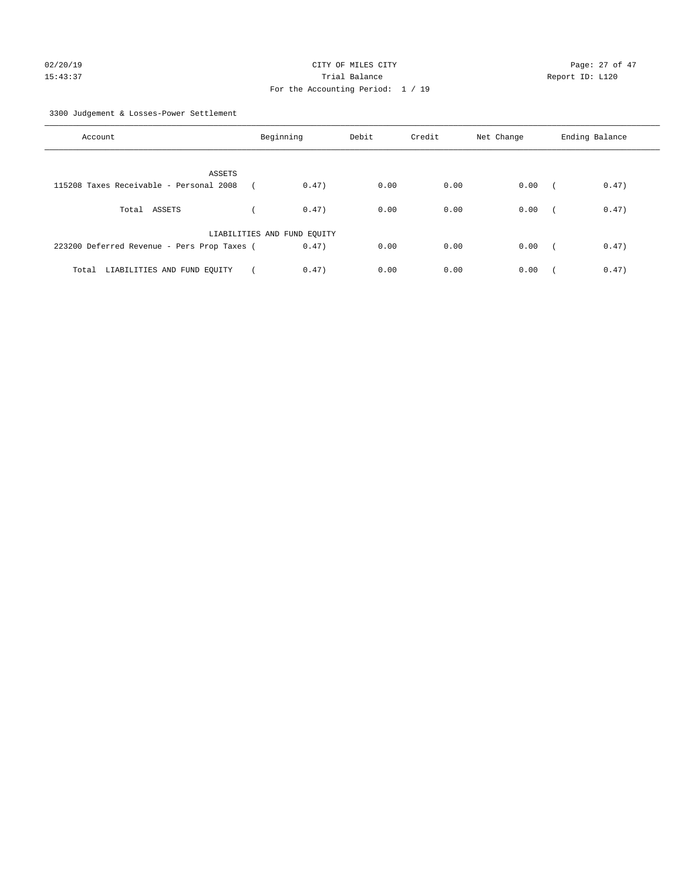3300 Judgement & Losses-Power Settlement

| Account                                     | Beginning                   |       | Debit | Credit | Net Change | Ending Balance |       |
|---------------------------------------------|-----------------------------|-------|-------|--------|------------|----------------|-------|
| ASSETS                                      |                             |       |       |        |            |                |       |
| 115208 Taxes Receivable - Personal 2008     |                             | 0.47) | 0.00  | 0.00   | 0.00       |                | 0.47) |
| Total ASSETS                                |                             | 0.47) | 0.00  | 0.00   | 0.00       | $\sqrt{2}$     | 0.47) |
|                                             | LIABILITIES AND FUND EQUITY |       |       |        |            |                |       |
| 223200 Deferred Revenue - Pers Prop Taxes ( |                             | 0.47) | 0.00  | 0.00   | 0.00       | $\sqrt{2}$     | 0.47) |
| Total LIABILITIES AND FUND EQUITY           |                             | 0.47) | 0.00  | 0.00   | 0.00       |                | 0.47) |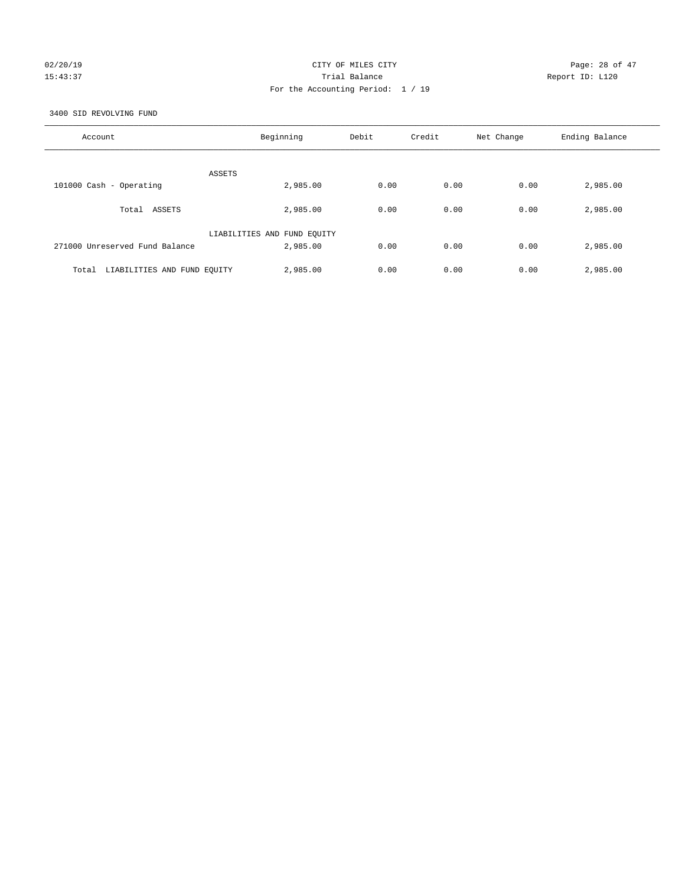## $O(2/20/19$  Page: 28 of 47 15:43:37 Trial Balance Report ID: L120 For the Accounting Period: 1 / 19

3400 SID REVOLVING FUND

| Account                              | Beginning                   | Debit | Credit | Net Change | Ending Balance |
|--------------------------------------|-----------------------------|-------|--------|------------|----------------|
| ASSETS                               |                             |       |        |            |                |
| 101000 Cash - Operating              | 2,985.00                    | 0.00  | 0.00   | 0.00       | 2,985.00       |
| ASSETS<br>Total                      | 2,985.00                    | 0.00  | 0.00   | 0.00       | 2,985.00       |
|                                      | LIABILITIES AND FUND EQUITY |       |        |            |                |
| 271000 Unreserved Fund Balance       | 2,985.00                    | 0.00  | 0.00   | 0.00       | 2,985.00       |
| LIABILITIES AND FUND EQUITY<br>Total | 2,985.00                    | 0.00  | 0.00   | 0.00       | 2,985.00       |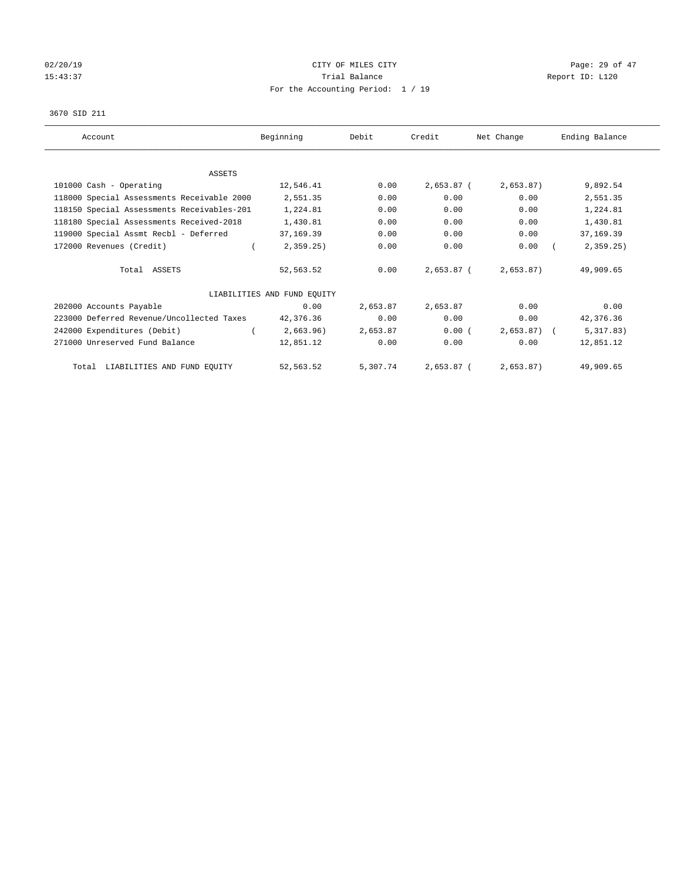## 02/20/19 **Page: 29 of 47** CITY OF MILES CITY **CITY Page: 29 of 47** 15:43:37 Trial Balance Trial Balance Report ID: L120 For the Accounting Period: 1 / 19

#### 3670 SID 211

| Account                                    | Beginning                   | Debit    | Credit       | Net Change   | Ending Balance |
|--------------------------------------------|-----------------------------|----------|--------------|--------------|----------------|
|                                            |                             |          |              |              |                |
| ASSETS                                     |                             |          |              |              |                |
| 101000 Cash - Operating                    | 12,546.41                   | 0.00     | 2,653.87 (   | 2,653.87)    | 9,892.54       |
| 118000 Special Assessments Receivable 2000 | 2,551.35                    | 0.00     | 0.00         | 0.00         | 2,551.35       |
| 118150 Special Assessments Receivables-201 | 1,224.81                    | 0.00     | 0.00         | 0.00         | 1,224.81       |
| 118180 Special Assessments Received-2018   | 1,430.81                    | 0.00     | 0.00         | 0.00         | 1,430.81       |
| 119000 Special Assmt Recbl - Deferred      | 37,169.39                   | 0.00     | 0.00         | 0.00         | 37, 169.39     |
| 172000 Revenues (Credit)                   | 2,359.25                    | 0.00     | 0.00         | 0.00         | 2, 359.25      |
| Total ASSETS                               | 52,563.52                   | 0.00     | 2,653.87 (   | 2,653.87)    | 49,909.65      |
|                                            | LIABILITIES AND FUND EOUITY |          |              |              |                |
| 202000 Accounts Payable                    | 0.00                        | 2,653.87 | 2,653.87     | 0.00         | 0.00           |
| 223000 Deferred Revenue/Uncollected Taxes  | 42,376.36                   | 0.00     | 0.00         | 0.00         | 42,376.36      |
| 242000 Expenditures (Debit)                | 2,663.96)                   | 2,653.87 | 0.00(        | $2,653.87$ ( | 5,317.83)      |
| 271000 Unreserved Fund Balance             | 12,851.12                   | 0.00     | 0.00         | 0.00         | 12,851.12      |
| Total LIABILITIES AND FUND EQUITY          | 52,563.52                   | 5,307.74 | $2,653.87$ ( | 2,653.87)    | 49,909.65      |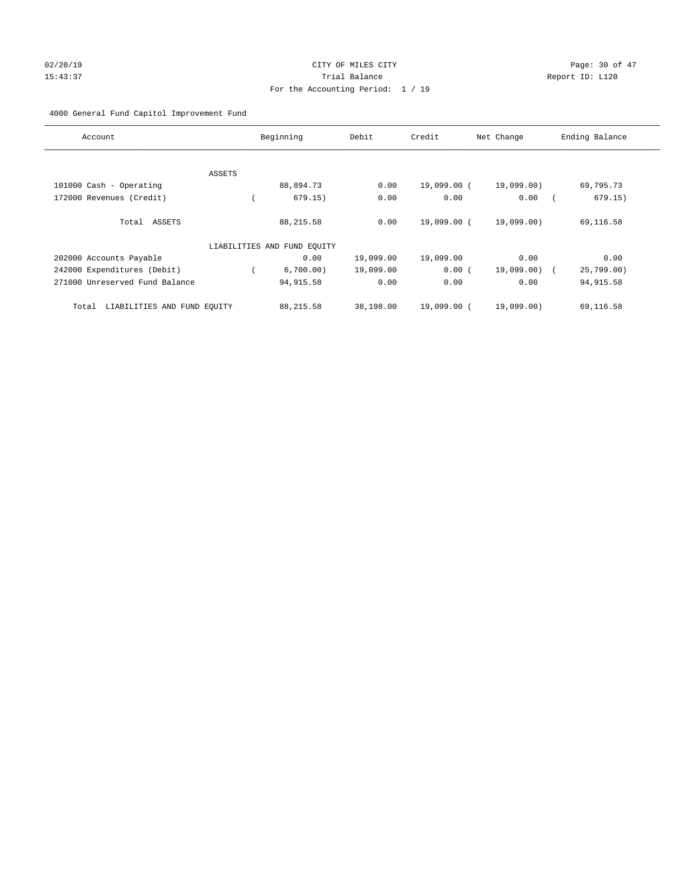## 02/20/19 **Page: 30 of 47** CITY OF MILES CITY **Page: 30 of 47** 15:43:37 Trial Balance Report ID: L120 For the Accounting Period: 1 / 19

## 4000 General Fund Capitol Improvement Fund

| Account                              | Beginning                   | Debit     | Credit      | Net Change   | Ending Balance |
|--------------------------------------|-----------------------------|-----------|-------------|--------------|----------------|
|                                      |                             |           |             |              |                |
| ASSETS                               |                             |           |             |              |                |
| 101000 Cash - Operating              | 88,894.73                   | 0.00      | 19,099.00 ( | 19,099.00)   | 69,795.73      |
| 172000 Revenues (Credit)             | 679.15)                     | 0.00      | 0.00        | 0.00         | 679.15)        |
| Total ASSETS                         | 88, 215.58                  | 0.00      | 19,099.00 ( | 19,099.00)   | 69,116.58      |
|                                      | LIABILITIES AND FUND EQUITY |           |             |              |                |
| 202000 Accounts Payable              | 0.00                        | 19,099.00 | 19,099.00   | 0.00         | 0.00           |
| 242000 Expenditures (Debit)          | 6,700.00)                   | 19,099.00 | 0.00(       | 19,099.00) ( | 25,799.00      |
| 271000 Unreserved Fund Balance       | 94,915.58                   | 0.00      | 0.00        | 0.00         | 94, 915.58     |
| LIABILITIES AND FUND EQUITY<br>Total | 88, 215.58                  | 38,198.00 | 19,099.00 ( | 19,099.00)   | 69,116.58      |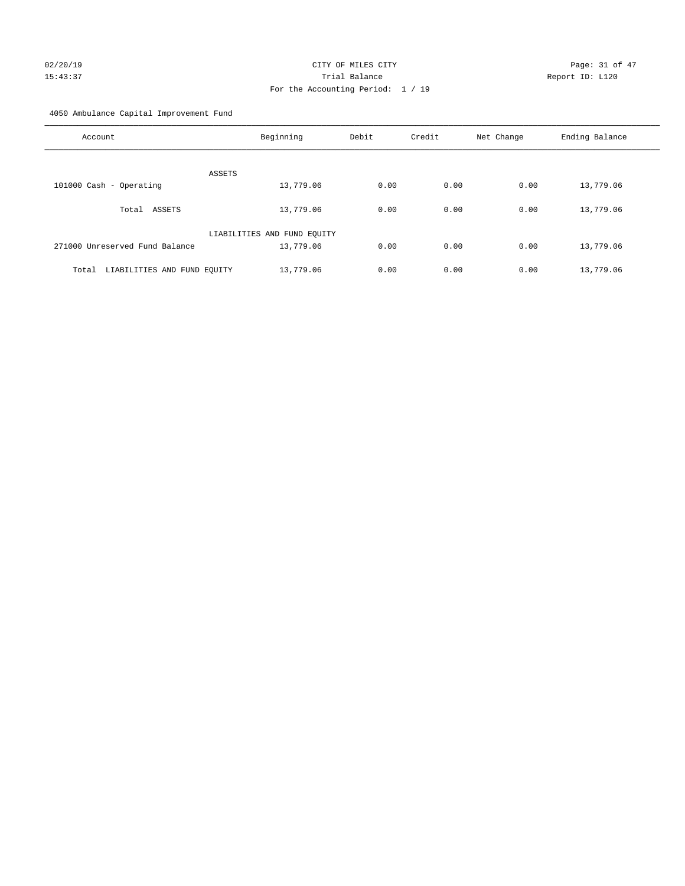# $O2/20/19$  Page: 31 of 47 15:43:37 Trial Balance Report ID: L120 For the Accounting Period: 1 / 19

4050 Ambulance Capital Improvement Fund

| Account                              | Beginning                   | Debit | Credit | Net Change | Ending Balance |
|--------------------------------------|-----------------------------|-------|--------|------------|----------------|
| ASSETS                               |                             |       |        |            |                |
| 101000 Cash - Operating              | 13,779.06                   | 0.00  | 0.00   | 0.00       | 13,779.06      |
| ASSETS<br>Total                      | 13,779.06                   | 0.00  | 0.00   | 0.00       | 13,779.06      |
|                                      | LIABILITIES AND FUND EQUITY |       |        |            |                |
| 271000 Unreserved Fund Balance       | 13,779.06                   | 0.00  | 0.00   | 0.00       | 13,779.06      |
| LIABILITIES AND FUND EQUITY<br>Total | 13,779.06                   | 0.00  | 0.00   | 0.00       | 13,779.06      |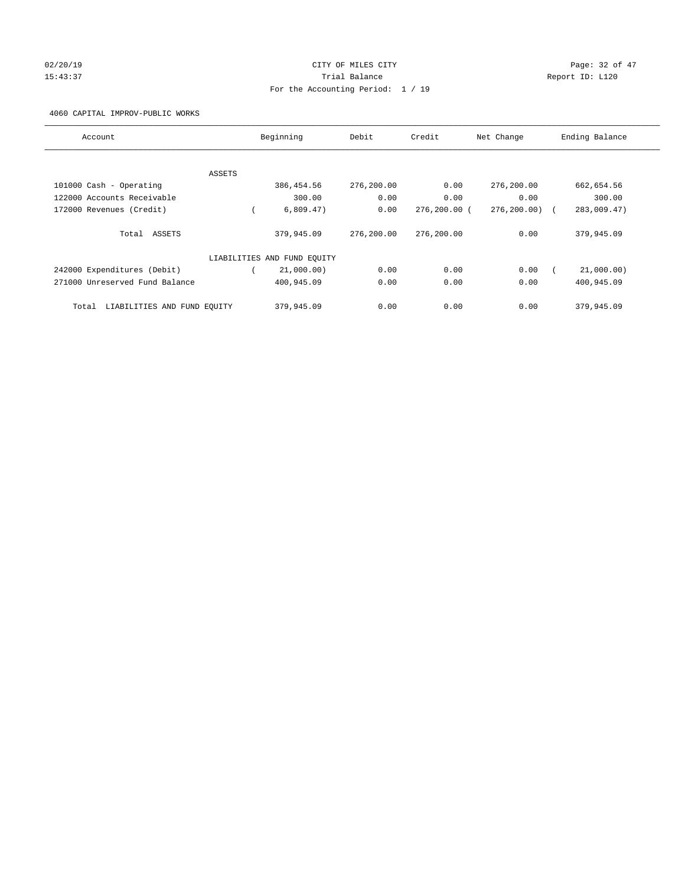## 02/20/19 **Page: 32 of 47** CITY OF MILES CITY **Page: 32 of 47** 15:43:37 Trial Balance Report ID: L120 For the Accounting Period: 1 / 19

4060 CAPITAL IMPROV-PUBLIC WORKS

| Account                              | Beginning                   | Debit      | Credit       | Net Change  | Ending Balance |
|--------------------------------------|-----------------------------|------------|--------------|-------------|----------------|
|                                      |                             |            |              |             |                |
| ASSETS                               |                             |            |              |             |                |
| 101000 Cash - Operating              | 386,454.56                  | 276,200.00 | 0.00         | 276,200.00  | 662,654.56     |
| 122000 Accounts Receivable           | 300.00                      | 0.00       | 0.00         | 0.00        | 300.00         |
| 172000 Revenues (Credit)             | 6,809.47)                   | 0.00       | 276,200.00 ( | 276, 200.00 | 283,009.47)    |
| Total ASSETS                         | 379,945.09                  | 276,200.00 | 276,200.00   | 0.00        | 379,945.09     |
|                                      | LIABILITIES AND FUND EQUITY |            |              |             |                |
| 242000 Expenditures (Debit)          | 21,000.00)                  | 0.00       | 0.00         | 0.00        | 21,000.00)     |
| 271000 Unreserved Fund Balance       | 400,945.09                  | 0.00       | 0.00         | 0.00        | 400,945.09     |
| LIABILITIES AND FUND EQUITY<br>Total | 379,945.09                  | 0.00       | 0.00         | 0.00        | 379,945.09     |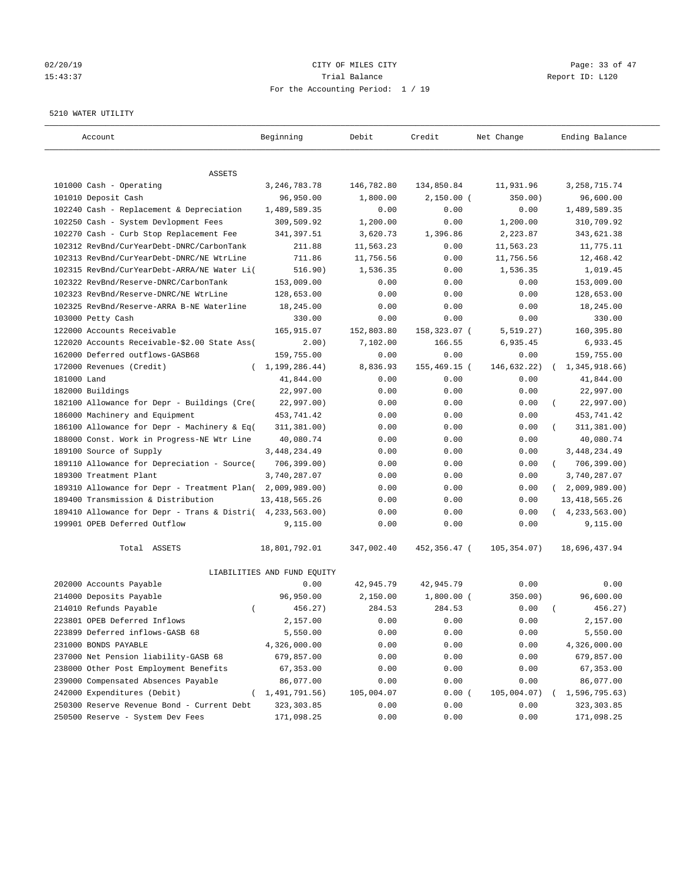## 02/20/19 **Page: 33 of 47** CITY OF MILES CITY **Page: 33 of 47** 15:43:37 Trial Balance Report ID: L120 For the Accounting Period: 1 / 19

#### 5210 WATER UTILITY

| Account                                                   | Beginning                   | Debit      | Credit       | Net Change  | Ending Balance             |
|-----------------------------------------------------------|-----------------------------|------------|--------------|-------------|----------------------------|
|                                                           |                             |            |              |             |                            |
| ASSETS                                                    |                             |            |              |             |                            |
| 101000 Cash - Operating                                   | 3, 246, 783. 78             | 146,782.80 | 134,850.84   | 11,931.96   | 3, 258, 715. 74            |
| 101010 Deposit Cash                                       | 96,950.00                   | 1,800.00   | $2,150.00$ ( | 350.00)     | 96,600.00                  |
| 102240 Cash - Replacement & Depreciation                  | 1,489,589.35                | 0.00       | 0.00         | 0.00        | 1,489,589.35               |
| 102250 Cash - System Devlopment Fees                      | 309,509.92                  | 1,200.00   | 0.00         | 1,200.00    | 310,709.92                 |
| 102270 Cash - Curb Stop Replacement Fee                   | 341,397.51                  | 3,620.73   | 1,396.86     | 2,223.87    | 343,621.38                 |
| 102312 RevBnd/CurYearDebt-DNRC/CarbonTank                 | 211.88                      | 11,563.23  | 0.00         | 11,563.23   | 11,775.11                  |
| 102313 RevBnd/CurYearDebt-DNRC/NE WtrLine                 | 711.86                      | 11,756.56  | 0.00         | 11,756.56   | 12,468.42                  |
| 102315 RevBnd/CurYearDebt-ARRA/NE Water Li(               | 516.90)                     | 1,536.35   | 0.00         | 1,536.35    | 1,019.45                   |
| 102322 RevBnd/Reserve-DNRC/CarbonTank                     | 153,009.00                  | 0.00       | 0.00         | 0.00        | 153,009.00                 |
| 102323 RevBnd/Reserve-DNRC/NE WtrLine                     | 128,653.00                  | 0.00       | 0.00         | 0.00        | 128,653.00                 |
| 102325 RevBnd/Reserve-ARRA B-NE Waterline                 | 18,245.00                   | 0.00       | 0.00         | 0.00        | 18,245.00                  |
| 103000 Petty Cash                                         | 330.00                      | 0.00       | 0.00         | 0.00        | 330.00                     |
| 122000 Accounts Receivable                                | 165,915.07                  | 152,803.80 | 158,323.07 ( | 5, 519.27)  | 160,395.80                 |
| 122020 Accounts Receivable-\$2.00 State Ass(              | 2.00)                       | 7,102.00   | 166.55       | 6,935.45    | 6,933.45                   |
| 162000 Deferred outflows-GASB68                           | 159,755.00                  | 0.00       | 0.00         | 0.00        | 159,755.00                 |
| 172000 Revenues (Credit)<br>$\left($                      | 1,199,286.44)               | 8,836.93   | 155,469.15 ( | 146,632.22) | 1,345,918.66)              |
| 181000 Land                                               | 41,844.00                   | 0.00       | 0.00         | 0.00        | 41,844.00                  |
| 182000 Buildings                                          | 22,997.00                   | 0.00       | 0.00         | 0.00        | 22,997.00                  |
| 182100 Allowance for Depr - Buildings (Cre(               | 22,997.00)                  | 0.00       | 0.00         | 0.00        | 22,997.00)                 |
| 186000 Machinery and Equipment                            | 453,741.42                  | 0.00       | 0.00         | 0.00        | 453,741.42                 |
| 186100 Allowance for Depr - Machinery & Eq(               | 311,381.00)                 | 0.00       | 0.00         | 0.00        | 311,381.00)                |
| 188000 Const. Work in Progress-NE Wtr Line                | 40,080.74                   | 0.00       | 0.00         | 0.00        | 40,080.74                  |
| 189100 Source of Supply                                   | 3, 448, 234.49              | 0.00       | 0.00         | 0.00        | 3, 448, 234.49             |
| 189110 Allowance for Depreciation - Source(               | 706, 399.00)                | 0.00       | 0.00         | 0.00        | 706, 399.00)<br>$\left($   |
| 189300 Treatment Plant                                    | 3,740,287.07                | 0.00       | 0.00         | 0.00        | 3,740,287.07               |
| 189310 Allowance for Depr - Treatment Plan(               | 2,009,989.00)               | 0.00       | 0.00         | 0.00        | 2,009,989.00<br>$\sqrt{2}$ |
| 189400 Transmission & Distribution                        | 13, 418, 565.26             | 0.00       | 0.00         | 0.00        | 13, 418, 565.26            |
| 189410 Allowance for Depr - Trans & Distri( 4,233,563.00) |                             | 0.00       | 0.00         | 0.00        | (4, 233, 563.00)           |
| 199901 OPEB Deferred Outflow                              | 9,115.00                    | 0.00       | 0.00         | 0.00        | 9,115.00                   |
| Total ASSETS                                              | 18,801,792.01               | 347,002.40 | 452,356.47 ( | 105,354.07) | 18,696,437.94              |
|                                                           | LIABILITIES AND FUND EQUITY |            |              |             |                            |
| 202000 Accounts Payable                                   | 0.00                        | 42,945.79  | 42,945.79    | 0.00        | 0.00                       |
| 214000 Deposits Payable                                   | 96,950.00                   | 2,150.00   | $1,800.00$ ( | 350.00)     | 96,600.00                  |
| 214010 Refunds Payable<br>$\left($                        | 456.27)                     | 284.53     | 284.53       | 0.00        | 456.27                     |
| 223801 OPEB Deferred Inflows                              | 2,157.00                    | 0.00       | 0.00         | 0.00        | 2,157.00                   |
| 223899 Deferred inflows-GASB 68                           | 5,550.00                    | 0.00       | 0.00         | 0.00        | 5,550.00                   |
| 231000 BONDS PAYABLE                                      | 4,326,000.00                | 0.00       | 0.00         | 0.00        | 4,326,000.00               |
| 237000 Net Pension liability-GASB 68                      | 679,857.00                  | 0.00       | 0.00         | 0.00        | 679,857.00                 |
| 238000 Other Post Employment Benefits                     | 67,353.00                   | 0.00       | 0.00         | 0.00        | 67, 353.00                 |
| 239000 Compensated Absences Payable                       | 86,077.00                   | 0.00       | 0.00         | 0.00        | 86,077.00                  |
| 242000 Expenditures (Debit)                               | (1, 491, 791.56)            | 105,004.07 | 0.00(        | 105,004.07) | 1,596,795.63)              |
| 250300 Reserve Revenue Bond - Current Debt                | 323, 303.85                 | 0.00       | 0.00         | 0.00        | 323, 303.85                |
| 250500 Reserve - System Dev Fees                          | 171,098.25                  | 0.00       | 0.00         | 0.00        | 171,098.25                 |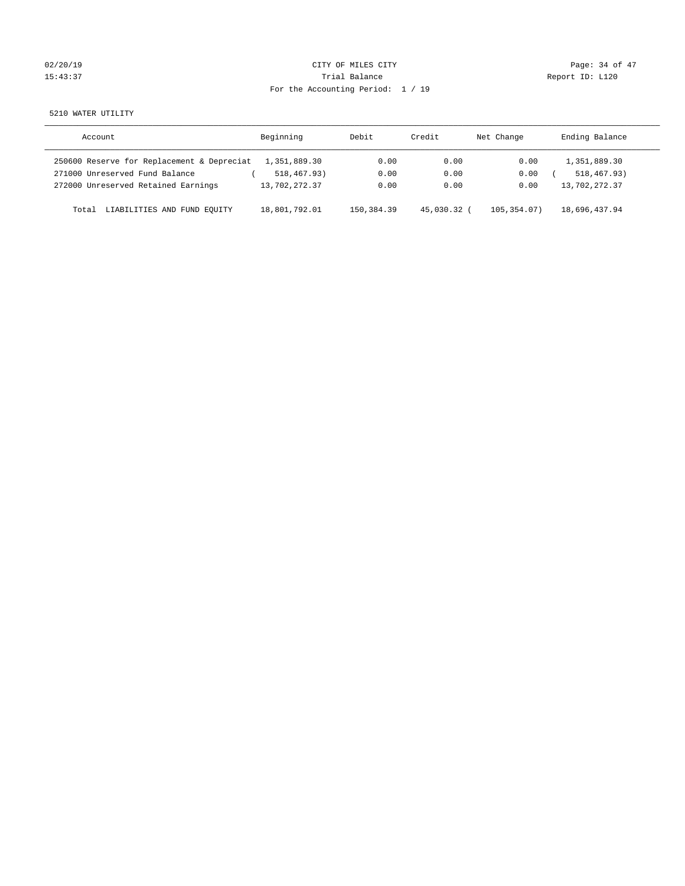| 02/20/19 |  |
|----------|--|
| 15:43:37 |  |

# CITY OF MILES CITY CONTROL CONTROL CITY CONTROL Page: 34 of 47 Partial Balance and Communications of the Report ID: L120 For the Accounting Period: 1 / 19

5210 WATER UTILITY

| Account                                    | Beginning     | Debit      | Credit    | Net Change | Ending Balance |
|--------------------------------------------|---------------|------------|-----------|------------|----------------|
| 250600 Reserve for Replacement & Depreciat | 1,351,889.30  | 0.00       | 0.00      | 0.00       | 1,351,889.30   |
| 271000 Unreserved Fund Balance             | 518,467.93)   | 0.00       | 0.00      | 0.00       | 518, 467, 93)  |
| 272000 Unreserved Retained Earnings        | 13,702,272.37 | 0.00       | 0.00      | 0.00       | 13,702,272.37  |
| LIABILITIES AND FUND EOUITY<br>Total       | 18,801,792.01 | 150,384.39 | 45,030.32 | 105.354.07 | 18,696,437.94  |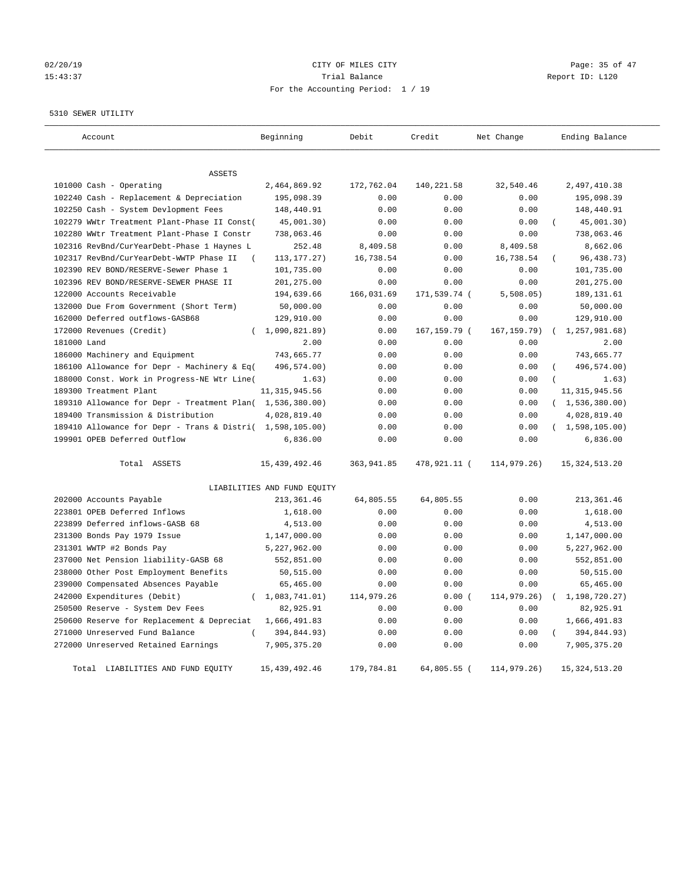## 02/20/19 **Page: 35 of 47** CITY OF MILES CITY **Page: 35 of 47** 15:43:37 Trial Balance Report ID: L120 For the Accounting Period: 1 / 19

#### 5310 SEWER UTILITY

| Account                                                   | Beginning                   | Debit       | Credit       | Net Change   | Ending Balance              |
|-----------------------------------------------------------|-----------------------------|-------------|--------------|--------------|-----------------------------|
|                                                           |                             |             |              |              |                             |
| <b>ASSETS</b><br>101000 Cash - Operating                  | 2,464,869.92                | 172,762.04  | 140,221.58   | 32,540.46    | 2,497,410.38                |
| 102240 Cash - Replacement & Depreciation                  | 195,098.39                  | 0.00        | 0.00         | 0.00         | 195,098.39                  |
| 102250 Cash - System Devlopment Fees                      | 148,440.91                  | 0.00        | 0.00         | 0.00         | 148,440.91                  |
| 102279 WWtr Treatment Plant-Phase II Const(               | 45,001.30)                  | 0.00        | 0.00         | 0.00         | 45,001.30)                  |
| 102280 WWtr Treatment Plant-Phase I Constr                | 738,063.46                  | 0.00        | 0.00         | 0.00         | 738,063.46                  |
| 102316 RevBnd/CurYearDebt-Phase 1 Haynes L                | 252.48                      | 8,409.58    | 0.00         | 8,409.58     | 8,662.06                    |
| 102317 RevBnd/CurYearDebt-WWTP Phase II<br>$\left($       | 113, 177. 27)               | 16,738.54   | 0.00         | 16,738.54    | 96, 438.73)                 |
| 102390 REV BOND/RESERVE-Sewer Phase 1                     | 101,735.00                  | 0.00        | 0.00         | 0.00         | 101,735.00                  |
| 102396 REV BOND/RESERVE-SEWER PHASE II                    | 201,275.00                  | 0.00        | 0.00         | 0.00         | 201,275.00                  |
|                                                           |                             |             |              |              |                             |
| 122000 Accounts Receivable                                | 194,639.66                  | 166,031.69  | 171,539.74 ( | 5,508.05     | 189, 131.61                 |
| 132000 Due From Government (Short Term)                   | 50,000.00                   | 0.00        | 0.00         | 0.00         | 50,000.00                   |
| 162000 Deferred outflows-GASB68                           | 129,910.00                  | 0.00        | 0.00         | 0.00         | 129,910.00                  |
| 172000 Revenues (Credit)                                  | (1,090,821.89)              | 0.00        | 167,159.79 ( | 167, 159.79) | 1,257,981.68)<br>$\sqrt{2}$ |
| 181000 Land                                               | 2.00                        | 0.00        | 0.00         | 0.00         | 2.00                        |
| 186000 Machinery and Equipment                            | 743,665.77                  | 0.00        | 0.00         | 0.00         | 743,665.77                  |
| 186100 Allowance for Depr - Machinery & Eq(               | 496,574.00)                 | 0.00        | 0.00         | 0.00         | 496,574.00)                 |
| 188000 Const. Work in Progress-NE Wtr Line(               | 1.63)                       | 0.00        | 0.00         | 0.00         | 1.63)                       |
| 189300 Treatment Plant                                    | 11, 315, 945.56             | 0.00        | 0.00         | 0.00         | 11, 315, 945.56             |
| 189310 Allowance for Depr - Treatment Plan( 1,536,380.00) |                             | 0.00        | 0.00         | 0.00         | (1, 536, 380.00)            |
| 189400 Transmission & Distribution                        | 4,028,819.40                | 0.00        | 0.00         | 0.00         | 4,028,819.40                |
| 189410 Allowance for Depr - Trans & Distri( 1,598,105.00) |                             | 0.00        | 0.00         | 0.00         | (1,598,105.00)              |
| 199901 OPEB Deferred Outflow                              | 6,836.00                    | 0.00        | 0.00         | 0.00         | 6,836.00                    |
| Total ASSETS                                              | 15, 439, 492. 46            | 363, 941.85 | 478,921.11 ( | 114,979.26)  | 15, 324, 513. 20            |
|                                                           | LIABILITIES AND FUND EQUITY |             |              |              |                             |
| 202000 Accounts Payable                                   | 213, 361.46                 | 64,805.55   | 64,805.55    | 0.00         | 213, 361.46                 |
| 223801 OPEB Deferred Inflows                              | 1,618.00                    | 0.00        | 0.00         | 0.00         | 1,618.00                    |
| 223899 Deferred inflows-GASB 68                           | 4,513.00                    | 0.00        | 0.00         | 0.00         | 4,513.00                    |
| 231300 Bonds Pay 1979 Issue                               | 1,147,000.00                | 0.00        | 0.00         | 0.00         | 1,147,000.00                |
| 231301 WWTP #2 Bonds Pay                                  | 5,227,962.00                | 0.00        | 0.00         | 0.00         | 5,227,962.00                |
| 237000 Net Pension liability-GASB 68                      | 552,851.00                  | 0.00        | 0.00         | 0.00         | 552,851.00                  |
| 238000 Other Post Employment Benefits                     | 50,515.00                   | 0.00        | 0.00         | 0.00         | 50,515.00                   |
| 239000 Compensated Absences Payable                       | 65,465.00                   | 0.00        | 0.00         | 0.00         | 65,465.00                   |
| 242000 Expenditures (Debit)<br>$\left($                   | 1,083,741.01)               | 114,979.26  | 0.00(        | 114,979.26)  | 1,198,720.27)               |
| 250500 Reserve - System Dev Fees                          | 82,925.91                   | 0.00        | 0.00         | 0.00         | 82,925.91                   |
| 250600 Reserve for Replacement & Depreciat                | 1,666,491.83                | 0.00        | 0.00         | 0.00         | 1,666,491.83                |
| 271000 Unreserved Fund Balance                            | 394,844.93)                 | 0.00        | 0.00         | 0.00         | 394,844.93)                 |
| 272000 Unreserved Retained Earnings                       | 7,905,375.20                | 0.00        | 0.00         | 0.00         | 7,905,375.20                |
| Total LIABILITIES AND FUND EQUITY                         | 15, 439, 492.46             | 179,784.81  | 64,805.55 (  | 114,979.26)  | 15, 324, 513. 20            |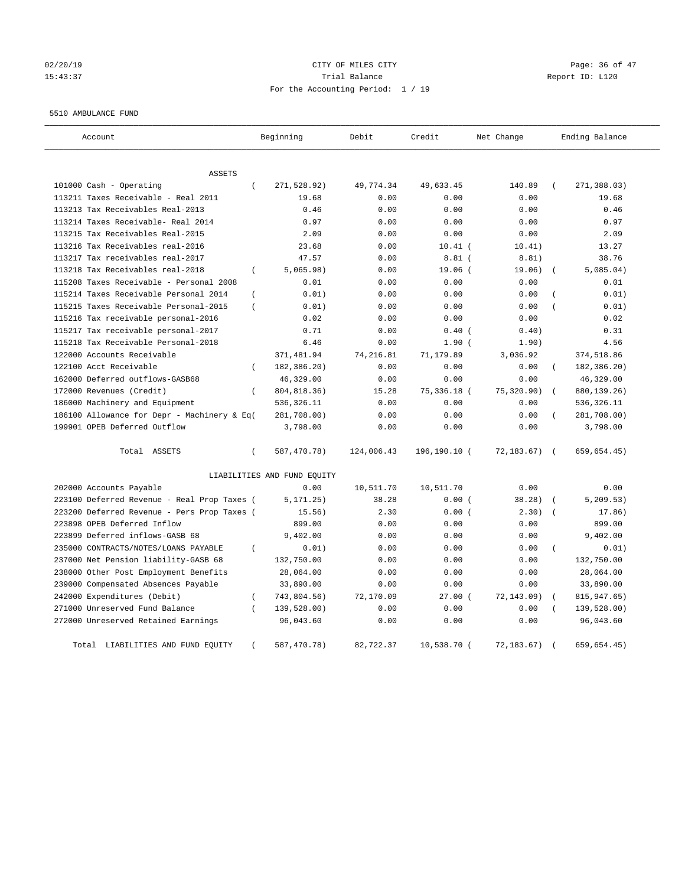## $O(2/20/19$  Page: 36 of 47 15:43:37 Trial Balance Report ID: L120 For the Accounting Period: 1 / 19

#### 5510 AMBULANCE FUND

| Account                                     | Beginning                        | Debit      | Credit       | Net Change  | Ending Balance            |
|---------------------------------------------|----------------------------------|------------|--------------|-------------|---------------------------|
| <b>ASSETS</b>                               |                                  |            |              |             |                           |
| 101000 Cash - Operating                     | $\left($<br>271,528.92)          | 49,774.34  | 49,633.45    | 140.89      | 271,388.03)<br>$\left($   |
| 113211 Taxes Receivable - Real 2011         | 19.68                            | 0.00       | 0.00         | 0.00        | 19.68                     |
| 113213 Tax Receivables Real-2013            | 0.46                             | 0.00       | 0.00         | 0.00        | 0.46                      |
| 113214 Taxes Receivable- Real 2014          | 0.97                             | 0.00       | 0.00         | 0.00        | 0.97                      |
| 113215 Tax Receivables Real-2015            | 2.09                             | 0.00       | 0.00         | 0.00        | 2.09                      |
| 113216 Tax Receivables real-2016            | 23.68                            | 0.00       | $10.41$ (    | 10.41)      | 13.27                     |
| 113217 Tax receivables real-2017            | 47.57                            | 0.00       | $8.81$ (     | 8.81)       | 38.76                     |
| 113218 Tax Receivables real-2018            | 5,065.98)<br>$\left($            | 0.00       | 19.06(       | 19.06)      | 5,085.04)                 |
| 115208 Taxes Receivable - Personal 2008     | 0.01                             | 0.00       | 0.00         | 0.00        | 0.01                      |
| 115214 Taxes Receivable Personal 2014       | 0.01)<br>$\left($                | 0.00       | 0.00         | 0.00        | 0.01)                     |
| 115215 Taxes Receivable Personal-2015       | $\left($<br>0.01)                | 0.00       | 0.00         | 0.00        | 0.01)                     |
| 115216 Tax receivable personal-2016         | 0.02                             | 0.00       | 0.00         | 0.00        | 0.02                      |
| 115217 Tax receivable personal-2017         | 0.71                             | 0.00       | $0.40$ (     | 0.40)       | 0.31                      |
| 115218 Tax Receivable Personal-2018         | 6.46                             | 0.00       | $1.90$ (     | 1.90)       | 4.56                      |
| 122000 Accounts Receivable                  | 371,481.94                       | 74, 216.81 | 71,179.89    | 3,036.92    | 374,518.86                |
| 122100 Acct Receivable                      | 182,386.20)<br>$\left($          | 0.00       | 0.00         | 0.00        | 182,386.20)               |
| 162000 Deferred outflows-GASB68             | 46,329.00                        | 0.00       | 0.00         | 0.00        | 46,329.00                 |
| 172000 Revenues (Credit)                    | 804, 818.36)<br>$\overline{(\ }$ | 15.28      | 75,336.18 (  | 75,320.90)  | 880, 139. 26)             |
| 186000 Machinery and Equipment              | 536, 326.11                      | 0.00       | 0.00         | 0.00        | 536,326.11                |
| 186100 Allowance for Depr - Machinery & Eq( | 281,708.00)                      | 0.00       | 0.00         | 0.00        | 281,708.00)               |
| 199901 OPEB Deferred Outflow                | 3,798.00                         | 0.00       | 0.00         | 0.00        | 3,798.00                  |
| Total ASSETS                                | $\left($<br>587,470.78)          | 124,006.43 | 196,190.10 ( | 72, 183.67) | 659,654.45)<br>$\sqrt{2}$ |
|                                             | LIABILITIES AND FUND EQUITY      |            |              |             |                           |
| 202000 Accounts Payable                     | 0.00                             | 10,511.70  | 10,511.70    | 0.00        | 0.00                      |
| 223100 Deferred Revenue - Real Prop Taxes ( | 5, 171.25)                       | 38.28      | 0.00(        | 38.28)      | 5, 209.53)                |
| 223200 Deferred Revenue - Pers Prop Taxes ( | 15.56)                           | 2.30       | 0.00(        | 2.30)       | 17.86)                    |
| 223898 OPEB Deferred Inflow                 | 899.00                           | 0.00       | 0.00         | 0.00        | 899.00                    |
| 223899 Deferred inflows-GASB 68             | 9,402.00                         | 0.00       | 0.00         | 0.00        | 9,402.00                  |
| 235000 CONTRACTS/NOTES/LOANS PAYABLE        | 0.01)<br>$\overline{(\ }$        | 0.00       | 0.00         | 0.00        | 0.01)<br>$\overline{(\ }$ |
| 237000 Net Pension liability-GASB 68        | 132,750.00                       | 0.00       | 0.00         | 0.00        | 132,750.00                |
| 238000 Other Post Employment Benefits       | 28,064.00                        | 0.00       | 0.00         | 0.00        | 28,064.00                 |
| 239000 Compensated Absences Payable         | 33,890.00                        | 0.00       | 0.00         | 0.00        | 33,890.00                 |
| 242000 Expenditures (Debit)                 | 743,804.56)<br>$\left($          | 72,170.09  | $27.00$ (    | 72,143.09)  | 815,947.65)               |
| 271000 Unreserved Fund Balance              | 139,528.00)                      | 0.00       | 0.00         | 0.00        | 139,528.00)               |
| 272000 Unreserved Retained Earnings         | 96,043.60                        | 0.00       | 0.00         | 0.00        | 96,043.60                 |
| Total LIABILITIES AND FUND EQUITY           | 587,470.78)                      | 82,722.37  | 10,538.70 (  | 72, 183.67) | 659,654.45)<br>$\sqrt{2}$ |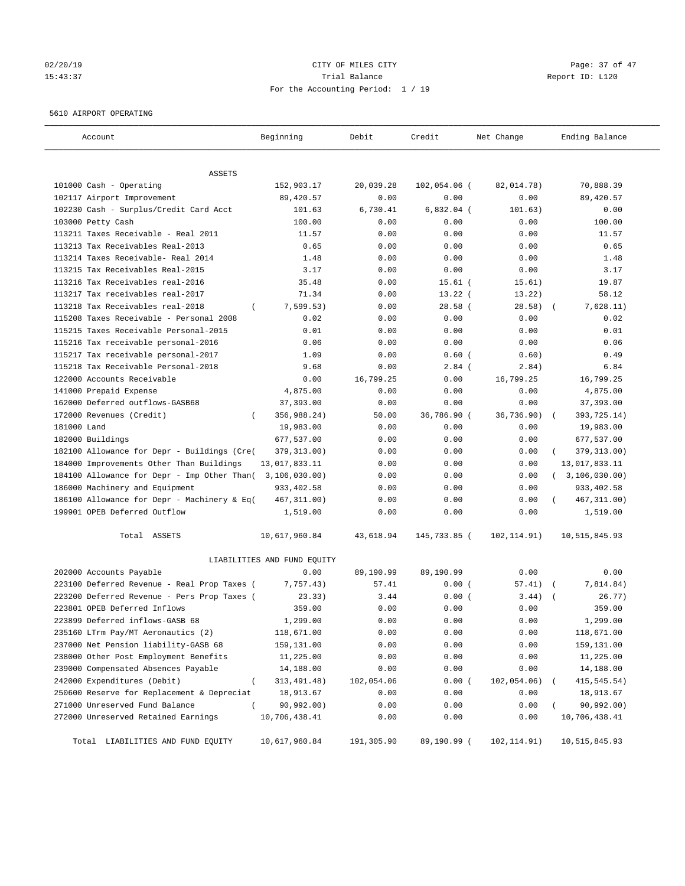## 02/20/19 **Page: 37 of 47** CITY OF MILES CITY **Page: 37 of 47** 15:43:37 Trial Balance Report ID: L120 For the Accounting Period: 1 / 19

#### 5610 AIRPORT OPERATING

| Account                                            | Beginning                   | Debit      | Credit       | Net Change   | Ending Balance        |
|----------------------------------------------------|-----------------------------|------------|--------------|--------------|-----------------------|
| ASSETS                                             |                             |            |              |              |                       |
| 101000 Cash - Operating                            | 152,903.17                  | 20,039.28  | 102,054.06 ( | 82,014.78)   | 70,888.39             |
| 102117 Airport Improvement                         | 89,420.57                   | 0.00       | 0.00         | 0.00         | 89,420.57             |
| 102230 Cash - Surplus/Credit Card Acct             | 101.63                      | 6,730.41   | $6,832.04$ ( | 101.63)      | 0.00                  |
| 103000 Petty Cash                                  | 100.00                      | 0.00       | 0.00         | 0.00         | 100.00                |
| 113211 Taxes Receivable - Real 2011                | 11.57                       | 0.00       | 0.00         | 0.00         | 11.57                 |
| 113213 Tax Receivables Real-2013                   | 0.65                        | 0.00       | 0.00         | 0.00         | 0.65                  |
| 113214 Taxes Receivable- Real 2014                 | 1.48                        | 0.00       | 0.00         | 0.00         | 1.48                  |
| 113215 Tax Receivables Real-2015                   | 3.17                        | 0.00       | 0.00         | 0.00         | 3.17                  |
| 113216 Tax Receivables real-2016                   | 35.48                       | 0.00       | $15.61$ (    | 15.61)       | 19.87                 |
| 113217 Tax receivables real-2017                   | 71.34                       | 0.00       | $13.22$ (    | 13.22)       | 58.12                 |
| 113218 Tax Receivables real-2018<br>$\left($       | 7,599.53)                   | 0.00       | 28.58(       | 28.58)       | 7,628.11)             |
| 115208 Taxes Receivable - Personal 2008            | 0.02                        | 0.00       | 0.00         | 0.00         | 0.02                  |
| 115215 Taxes Receivable Personal-2015              | 0.01                        | 0.00       | 0.00         | 0.00         | 0.01                  |
| 115216 Tax receivable personal-2016                | 0.06                        | 0.00       | 0.00         | 0.00         | 0.06                  |
| 115217 Tax receivable personal-2017                | 1.09                        | 0.00       | $0.60$ (     | 0.60)        | 0.49                  |
| 115218 Tax Receivable Personal-2018                | 9.68                        | 0.00       | $2.84$ (     | 2.84)        | 6.84                  |
| 122000 Accounts Receivable                         | 0.00                        | 16,799.25  | 0.00         | 16,799.25    | 16,799.25             |
| 141000 Prepaid Expense                             | 4,875.00                    | 0.00       | 0.00         | 0.00         | 4,875.00              |
| 162000 Deferred outflows-GASB68                    | 37,393.00                   | 0.00       | 0.00         | 0.00         | 37,393.00             |
| 172000 Revenues (Credit)                           | 356,988.24)                 | 50.00      | 36,786.90 (  | 36,736.90)   | 393,725.14)           |
| 181000 Land                                        | 19,983.00                   | 0.00       | 0.00         | 0.00         | 19,983.00             |
| 182000 Buildings                                   | 677,537.00                  | 0.00       | 0.00         | 0.00         | 677,537.00            |
| 182100 Allowance for Depr - Buildings (Cre(        | 379, 313.00)                | 0.00       | 0.00         | 0.00         | 379, 313.00)          |
| 184000 Improvements Other Than Buildings           | 13,017,833.11               | 0.00       | 0.00         | 0.00         | 13,017,833.11         |
| 184100 Allowance for Depr - Imp Other Than(        | 3,106,030.00)               | 0.00       | 0.00         | 0.00         | (3, 106, 030.00)      |
| 186000 Machinery and Equipment                     | 933, 402.58                 | 0.00       | 0.00         | 0.00         | 933, 402.58           |
| 186100 Allowance for Depr - Machinery & Eq(        | 467, 311.00)                | 0.00       | 0.00         | 0.00         | 467, 311.00)          |
| 199901 OPEB Deferred Outflow                       | 1,519.00                    | 0.00       | 0.00         | 0.00         | 1,519.00              |
| Total ASSETS                                       | 10,617,960.84               | 43,618.94  | 145,733.85 ( | 102,114.91)  | 10,515,845.93         |
|                                                    | LIABILITIES AND FUND EQUITY |            |              |              |                       |
| 202000 Accounts Payable                            | 0.00                        | 89,190.99  | 89,190.99    | 0.00         | 0.00                  |
| 223100 Deferred Revenue - Real Prop Taxes (        | 7,757.43)                   | 57.41      | 0.00(        | 57.41)       | 7,814.84)<br>$\left($ |
| 223200 Deferred Revenue - Pers Prop Taxes (        | 23.33)                      | 3.44       | 0.00(        | 3.44)        | 26.77)                |
| 223801 OPEB Deferred Inflows                       | 359.00                      | 0.00       | 0.00         | 0.00         | 359.00                |
| 223899 Deferred inflows-GASB 68                    | 1,299.00                    | 0.00       | 0.00         | 0.00         | 1,299.00              |
| 235160 LTrm Pay/MT Aeronautics (2)                 | 118,671.00                  | 0.00       | 0.00         | 0.00         | 118,671.00            |
| 237000 Net Pension liability-GASB 68               | 159,131.00                  | 0.00       | 0.00         | 0.00         | 159,131.00            |
| 238000 Other Post Employment Benefits              | 11,225.00                   | 0.00       | 0.00         | 0.00         | 11,225.00             |
| 239000 Compensated Absences Payable                | 14,188.00                   | 0.00       | 0.00         | 0.00         | 14,188.00             |
| 242000 Expenditures (Debit)<br>$\left($            | 313, 491.48)                | 102,054.06 | 0.00(        | 102,054.06)  | 415, 545.54)          |
| 250600 Reserve for Replacement & Depreciat         | 18,913.67                   | 0.00       | 0.00         | 0.00         | 18,913.67             |
| 271000 Unreserved Fund Balance<br>$\overline{(\ }$ | 90, 992.00)                 | 0.00       | 0.00         | 0.00         | 90,992.00)            |
| 272000 Unreserved Retained Earnings                | 10,706,438.41               | 0.00       | 0.00         | 0.00         | 10,706,438.41         |
| Total LIABILITIES AND FUND EQUITY                  | 10,617,960.84               | 191,305.90 | 89,190.99 (  | 102, 114.91) | 10,515,845.93         |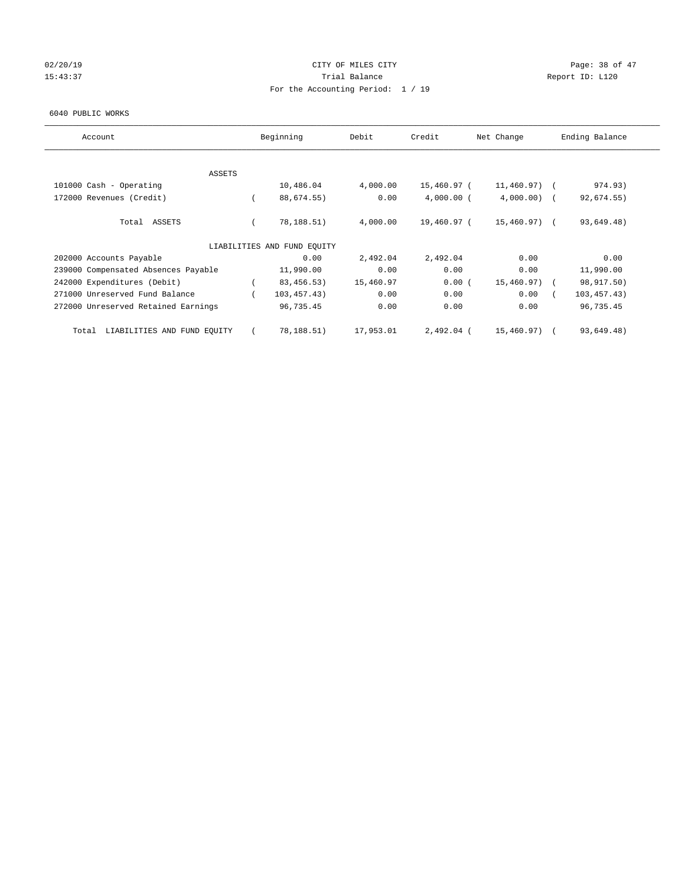## 02/20/19 **Page: 38 of 47** CITY OF MILES CITY **Page: 38 of 47** 15:43:37 Trial Balance Report ID: L120 For the Accounting Period: 1 / 19

#### 6040 PUBLIC WORKS

| Account                              | Beginning                   | Debit     | Credit       | Net Change      | Ending Balance |
|--------------------------------------|-----------------------------|-----------|--------------|-----------------|----------------|
|                                      |                             |           |              |                 |                |
| <b>ASSETS</b>                        |                             |           |              |                 |                |
| 101000 Cash - Operating              | 10,486.04                   | 4,000.00  | 15,460.97 (  | $11,460.97$ ) ( | 974.93)        |
| 172000 Revenues (Credit)             | 88,674.55)                  | 0.00      | $4,000.00$ ( | $4,000.00)$ (   | 92,674.55)     |
| Total ASSETS                         | 78,188.51)                  | 4,000.00  | 19,460.97 (  | 15,460.97) (    | 93,649.48)     |
|                                      | LIABILITIES AND FUND EQUITY |           |              |                 |                |
| 202000 Accounts Payable              | 0.00                        | 2,492.04  | 2,492.04     | 0.00            | 0.00           |
| 239000 Compensated Absences Payable  | 11,990.00                   | 0.00      | 0.00         | 0.00            | 11,990.00      |
| 242000 Expenditures (Debit)          | 83, 456. 53)                | 15,460.97 | 0.00(        | $15,460.97$ ) ( | 98,917.50)     |
| 271000 Unreserved Fund Balance       | 103, 457.43)                | 0.00      | 0.00         | 0.00            | 103, 457. 43)  |
| 272000 Unreserved Retained Earnings  | 96,735.45                   | 0.00      | 0.00         | 0.00            | 96,735.45      |
| LIABILITIES AND FUND EQUITY<br>Total | 78,188.51)                  | 17,953.01 | 2,492.04 (   | 15,460.97) (    | 93,649.48)     |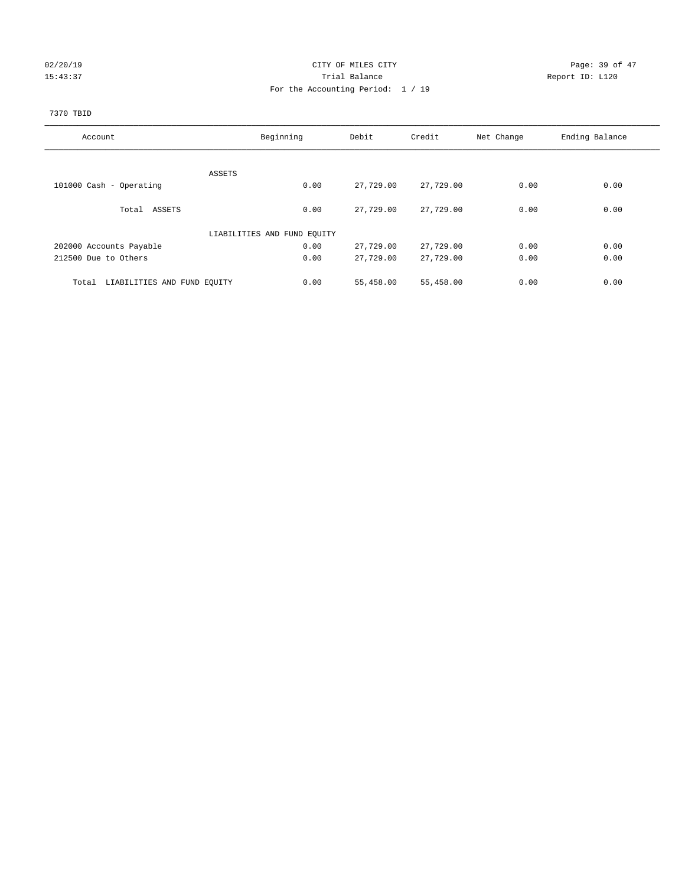## 02/20/19 **Page: 39 of 47** CITY OF MILES CITY **CITY Page: 39 of 47** 15:43:37 Trial Balance Trial Balance Report ID: L120 For the Accounting Period: 1 / 19

# 7370 TBID

| Account                              | Beginning                   | Debit     | Credit    | Net Change | Ending Balance |
|--------------------------------------|-----------------------------|-----------|-----------|------------|----------------|
|                                      |                             |           |           |            |                |
|                                      | ASSETS                      |           |           |            |                |
| 101000 Cash - Operating              | 0.00                        | 27,729.00 | 27,729.00 | 0.00       | 0.00           |
| Total ASSETS                         | 0.00                        | 27,729.00 | 27,729.00 | 0.00       | 0.00           |
|                                      | LIABILITIES AND FUND EQUITY |           |           |            |                |
| 202000 Accounts Payable              | 0.00                        | 27,729.00 | 27,729.00 | 0.00       | 0.00           |
| 212500 Due to Others                 | 0.00                        | 27,729.00 | 27,729.00 | 0.00       | 0.00           |
| Total<br>LIABILITIES AND FUND EQUITY | 0.00                        | 55,458.00 | 55,458.00 | 0.00       | 0.00           |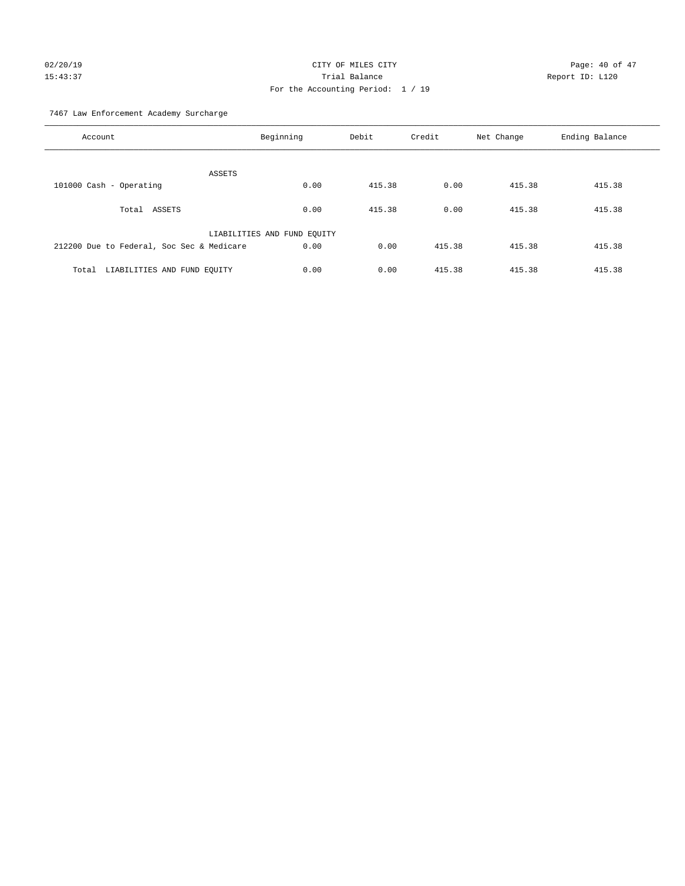# 02/20/19 CITY OF MILES CITY CHECK CONTROL Page: 40 of 47 15:43:37 Trial Balance Report ID: L120 For the Accounting Period: 1 / 19

7467 Law Enforcement Academy Surcharge

| Account                                   | Beginning                   | Debit  | Credit | Net Change | Ending Balance |
|-------------------------------------------|-----------------------------|--------|--------|------------|----------------|
| ASSETS                                    |                             |        |        |            |                |
| 101000 Cash - Operating                   | 0.00                        | 415.38 | 0.00   | 415.38     | 415.38         |
| Total ASSETS                              | 0.00                        | 415.38 | 0.00   | 415.38     | 415.38         |
|                                           | LIABILITIES AND FUND EQUITY |        |        |            |                |
| 212200 Due to Federal, Soc Sec & Medicare | 0.00                        | 0.00   | 415.38 | 415.38     | 415.38         |
| LIABILITIES AND FUND EQUITY<br>Total      | 0.00                        | 0.00   | 415.38 | 415.38     | 415.38         |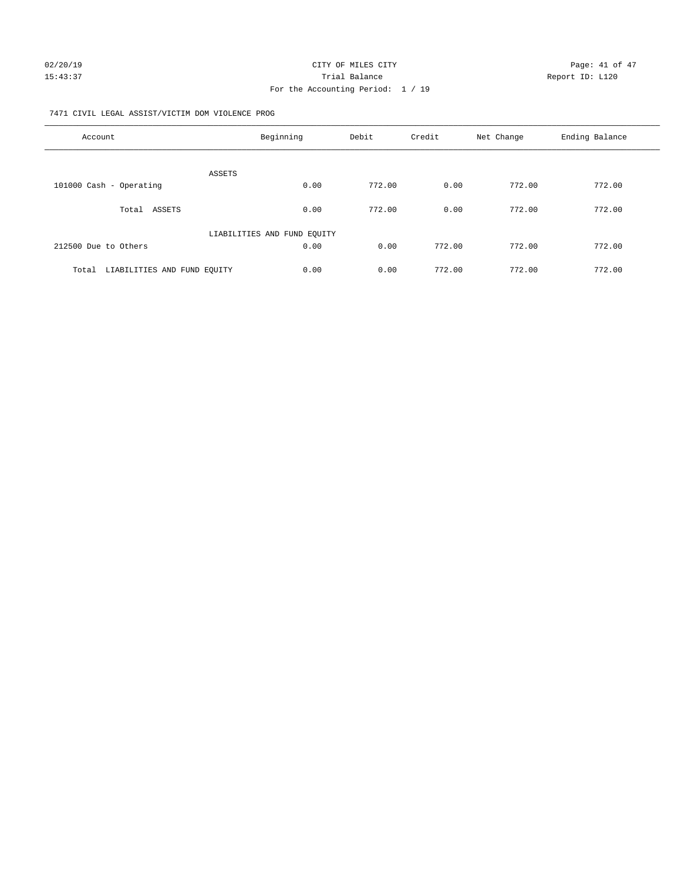#### 7471 CIVIL LEGAL ASSIST/VICTIM DOM VIOLENCE PROG

| Account                              | Beginning                   | Debit  | Credit | Net Change | Ending Balance |
|--------------------------------------|-----------------------------|--------|--------|------------|----------------|
|                                      | ASSETS                      |        |        |            |                |
| 101000 Cash - Operating              | 0.00                        | 772.00 | 0.00   | 772.00     | 772.00         |
| ASSETS<br>Total                      | 0.00                        | 772.00 | 0.00   | 772.00     | 772.00         |
|                                      | LIABILITIES AND FUND EQUITY |        |        |            |                |
| 212500 Due to Others                 | 0.00                        | 0.00   | 772.00 | 772.00     | 772.00         |
| LIABILITIES AND FUND EOUITY<br>Total | 0.00                        | 0.00   | 772.00 | 772.00     | 772.00         |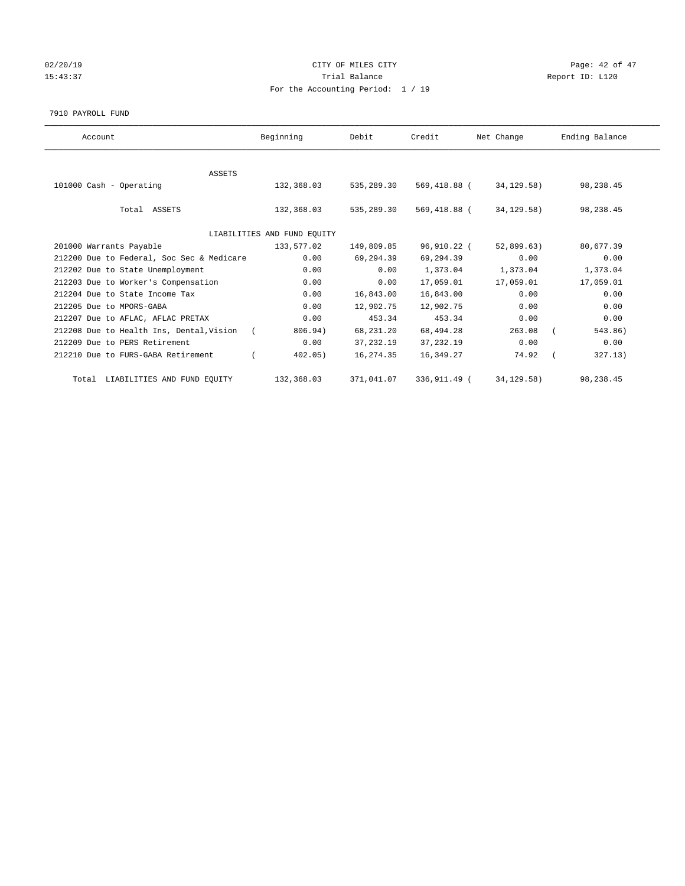## 02/20/19 **Page: 42 of 47** CITY OF MILES CITY **Page: 42 of 47** 15:43:37 Trial Balance Report ID: L120 For the Accounting Period: 1 / 19

#### 7910 PAYROLL FUND

| Account                                   | Beginning                   | Debit      | Credit       | Net Change   | Ending Balance |
|-------------------------------------------|-----------------------------|------------|--------------|--------------|----------------|
|                                           |                             |            |              |              |                |
| <b>ASSETS</b>                             |                             |            |              |              |                |
| 101000 Cash - Operating                   | 132,368.03                  | 535,289.30 | 569,418.88 ( | 34,129.58)   | 98,238.45      |
|                                           |                             |            |              |              |                |
| Total ASSETS                              | 132,368.03                  | 535,289.30 | 569,418.88 ( | 34,129.58)   | 98,238.45      |
|                                           |                             |            |              |              |                |
|                                           | LIABILITIES AND FUND EQUITY |            |              |              |                |
| 201000 Warrants Payable                   | 133,577.02                  | 149,809.85 | 96,910.22 (  | 52,899.63)   | 80,677.39      |
| 212200 Due to Federal, Soc Sec & Medicare | 0.00                        | 69,294.39  | 69,294.39    | 0.00         | 0.00           |
| 212202 Due to State Unemployment          | 0.00                        | 0.00       | 1,373.04     | 1,373.04     | 1,373.04       |
| 212203 Due to Worker's Compensation       | 0.00                        | 0.00       | 17,059.01    | 17,059.01    | 17,059.01      |
| 212204 Due to State Income Tax            | 0.00                        | 16,843.00  | 16,843.00    | 0.00         | 0.00           |
| 212205 Due to MPORS-GABA                  | 0.00                        | 12,902.75  | 12,902.75    | 0.00         | 0.00           |
| 212207 Due to AFLAC, AFLAC PRETAX         | 0.00                        | 453.34     | 453.34       | 0.00         | 0.00           |
| 212208 Due to Health Ins, Dental, Vision  | 806.94)<br>$\sqrt{2}$       | 68,231.20  | 68,494.28    | 263.08       | 543.86)        |
| 212209 Due to PERS Retirement             | 0.00                        | 37, 232.19 | 37, 232.19   | 0.00         | 0.00           |
| 212210 Due to FURS-GABA Retirement        | 402.05)                     | 16,274.35  | 16,349.27    | 74.92        | 327.13)        |
| Total LIABILITIES AND FUND EQUITY         | 132,368.03                  | 371,041.07 | 336,911.49 ( | 34, 129. 58) | 98,238.45      |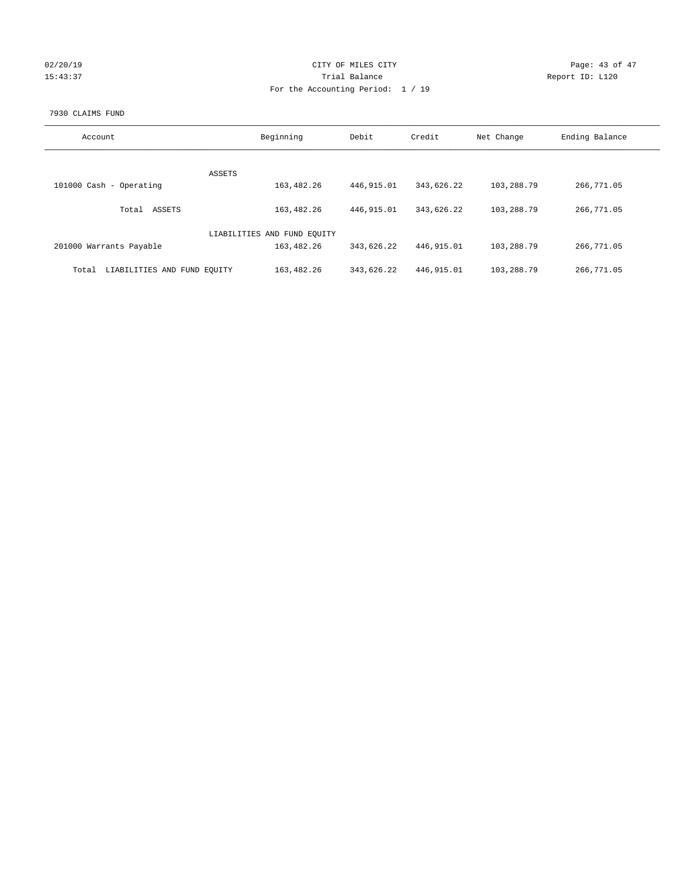| 02/20/19 |  |
|----------|--|
| 15:43:37 |  |

## CITY OF MILES CITY CONTROL CONTROL CITY CONTROL Page: 43 of 47 Partial Balance and Communications of the Report ID: L120 For the Accounting Period: 1 / 19

#### 7930 CLAIMS FUND

| Account                              | Beginning                   | Debit       | Credit     | Net Change | Ending Balance |
|--------------------------------------|-----------------------------|-------------|------------|------------|----------------|
|                                      |                             |             |            |            |                |
|                                      | ASSETS                      |             |            |            |                |
| 101000 Cash - Operating              | 163,482.26                  | 446, 915.01 | 343,626.22 | 103,288.79 | 266,771.05     |
| ASSETS<br>Total                      | 163,482.26                  | 446, 915.01 | 343,626.22 | 103,288.79 | 266,771.05     |
|                                      | LIABILITIES AND FUND EQUITY |             |            |            |                |
| 201000 Warrants Payable              | 163,482.26                  | 343,626.22  | 446,915.01 | 103,288.79 | 266,771.05     |
| LIABILITIES AND FUND EQUITY<br>Total | 163,482.26                  | 343,626.22  | 446,915.01 | 103,288.79 | 266,771.05     |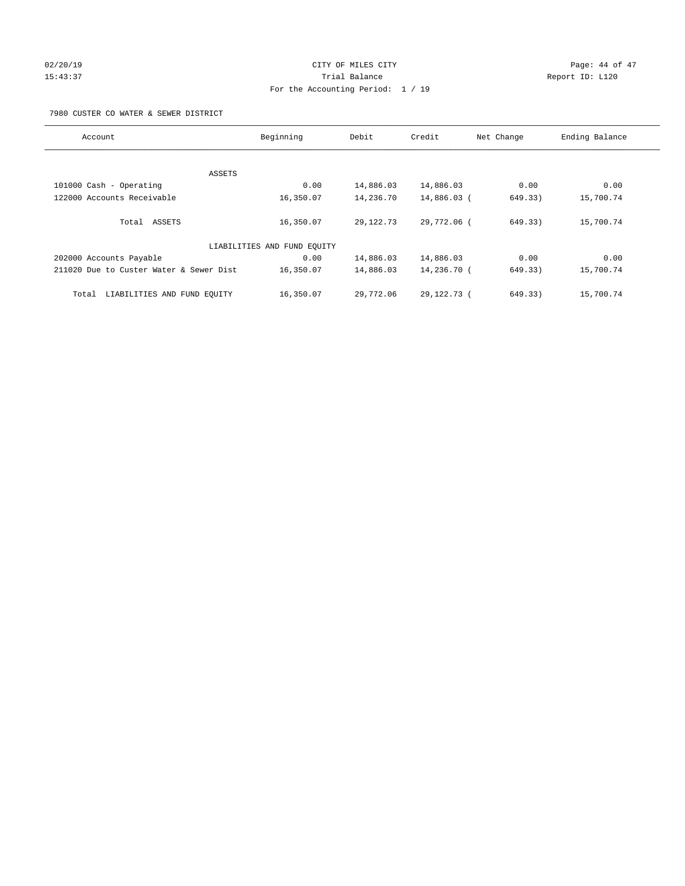## $O(2/20/19$   $O(2/20/19)$   $O(2/20/19)$   $O(2/20/19)$   $O(2/20/19)$   $O(2/20/19)$   $O(2/20/19)$ 15:43:37 Trial Balance Report ID: L120 For the Accounting Period: 1 / 19

#### 7980 CUSTER CO WATER & SEWER DISTRICT

| Account                                 | Beginning                   | Debit       | Credit        | Net Change | Ending Balance |
|-----------------------------------------|-----------------------------|-------------|---------------|------------|----------------|
|                                         |                             |             |               |            |                |
| ASSETS                                  |                             |             |               |            |                |
| 101000 Cash - Operating                 | 0.00                        | 14,886.03   | 14,886.03     | 0.00       | 0.00           |
| 122000 Accounts Receivable              | 16,350.07                   | 14,236.70   | 14,886.03 (   | 649.33)    | 15,700.74      |
| Total ASSETS                            | 16,350.07                   | 29, 122. 73 | 29,772.06 (   | 649.33)    | 15,700.74      |
|                                         | LIABILITIES AND FUND EQUITY |             |               |            |                |
| 202000 Accounts Payable                 | 0.00                        | 14,886.03   | 14,886.03     | 0.00       | 0.00           |
| 211020 Due to Custer Water & Sewer Dist | 16,350.07                   | 14,886.03   | 14,236.70 (   | 649.33)    | 15,700.74      |
| LIABILITIES AND FUND EQUITY<br>Total    | 16,350.07                   | 29,772.06   | 29, 122. 73 ( | 649.33)    | 15,700.74      |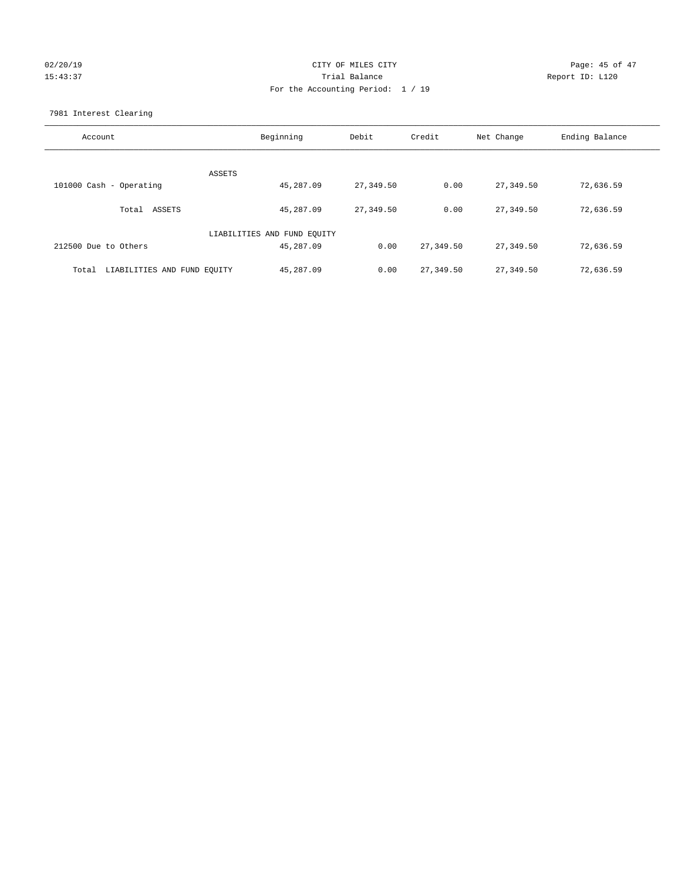## $O(2/20/19$  Page: 45 of 47 15:43:37 Trial Balance Report ID: L120 For the Accounting Period: 1 / 19

7981 Interest Clearing

| Account                              | Beginning                   | Debit     | Credit    | Net Change | Ending Balance |
|--------------------------------------|-----------------------------|-----------|-----------|------------|----------------|
|                                      |                             |           |           |            |                |
|                                      | ASSETS                      |           |           |            |                |
| 101000 Cash - Operating              | 45,287.09                   | 27,349.50 | 0.00      | 27,349.50  | 72,636.59      |
| Total ASSETS                         | 45,287.09                   | 27,349.50 | 0.00      | 27,349.50  | 72,636.59      |
|                                      | LIABILITIES AND FUND EQUITY |           |           |            |                |
| 212500 Due to Others                 | 45,287.09                   | 0.00      | 27,349.50 | 27,349.50  | 72,636.59      |
| LIABILITIES AND FUND EQUITY<br>Total | 45,287.09                   | 0.00      | 27,349.50 | 27,349.50  | 72,636.59      |
|                                      |                             |           |           |            |                |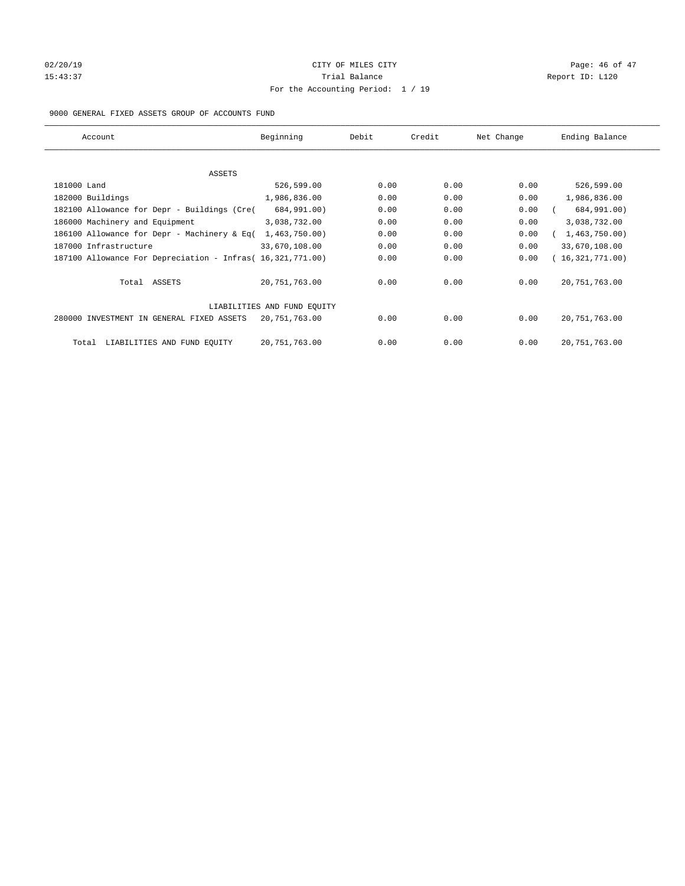## $O(2/20/19$   $O(2/20/19)$   $O(2/20/19)$   $O(2/20/19)$   $O(2/20/19)$   $O(2/20/19)$   $O(2/20/19)$ 15:43:37 Trial Balance Report ID: L120 For the Accounting Period: 1 / 19

#### 9000 GENERAL FIXED ASSETS GROUP OF ACCOUNTS FUND

| Account                                                    | Beginning                   | Debit | Credit | Net Change | Ending Balance  |
|------------------------------------------------------------|-----------------------------|-------|--------|------------|-----------------|
| ASSETS                                                     |                             |       |        |            |                 |
| 181000 Land                                                | 526,599.00                  | 0.00  | 0.00   | 0.00       | 526,599.00      |
| 182000 Buildings                                           | 1,986,836.00                | 0.00  | 0.00   | 0.00       | 1,986,836.00    |
| 182100 Allowance for Depr - Buildings (Cre(                | 684,991.00)                 | 0.00  | 0.00   | 0.00       | 684,991.00)     |
| 186000 Machinery and Equipment                             | 3,038,732.00                | 0.00  | 0.00   | 0.00       | 3,038,732.00    |
| 186100 Allowance for Depr - Machinery & Eq(                | 1,463,750.00                | 0.00  | 0.00   | 0.00       | 1,463,750.00    |
| 187000 Infrastructure                                      | 33,670,108.00               | 0.00  | 0.00   | 0.00       | 33,670,108.00   |
| 187100 Allowance For Depreciation - Infras( 16,321,771.00) |                             | 0.00  | 0.00   | 0.00       | 16,321,771.00)  |
| Total ASSETS                                               | 20, 751, 763.00             | 0.00  | 0.00   | 0.00       | 20, 751, 763.00 |
|                                                            | LIABILITIES AND FUND EQUITY |       |        |            |                 |
| 280000 INVESTMENT IN GENERAL FIXED ASSETS                  | 20,751,763.00               | 0.00  | 0.00   | 0.00       | 20, 751, 763.00 |
| LIABILITIES AND FUND EQUITY<br>Total                       | 20,751,763.00               | 0.00  | 0.00   | 0.00       | 20, 751, 763.00 |